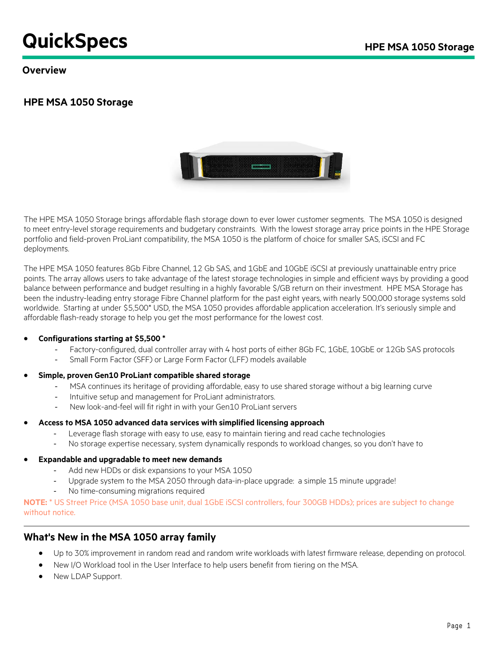# **QuickSpecs** HPE MSA 1050 Storage

**Overview**

### **HPE MSA 1050 Storage**



The HPE MSA 1050 Storage brings affordable flash storage down to ever lower customer segments. The MSA 1050 is designed to meet entry-level storage requirements and budgetary constraints. With the lowest storage array price points in the HPE Storage portfolio and field-proven ProLiant compatibility, the MSA 1050 is the platform of choice for smaller SAS, iSCSI and FC deployments.

The HPE MSA 1050 features 8Gb Fibre Channel, 12 Gb SAS, and 1GbE and 10GbE iSCSI at previously unattainable entry price points. The array allows users to take advantage of the latest storage technologies in simple and efficient ways by providing a good balance between performance and budget resulting in a highly favorable \$/GB return on their investment. HPE MSA Storage has been the industry-leading entry storage Fibre Channel platform for the past eight years, with nearly 500,000 storage systems sold worldwide. Starting at under \$5,500\* USD, the MSA 1050 provides affordable application acceleration. It's seriously simple and affordable flash-ready storage to help you get the most performance for the lowest cost.

#### • **Configurations starting at \$5,500 \***

- Factory-configured, dual controller array with 4 host ports of either 8Gb FC, 1GbE, 10GbE or 12Gb SAS protocols
- Small Form Factor (SFF) or Large Form Factor (LFF) models available
- **Simple, proven Gen10 ProLiant compatible shared storage**
	- MSA continues its heritage of providing affordable, easy to use shared storage without a big learning curve
	- Intuitive setup and management for ProLiant administrators.
	- New look-and-feel will fit right in with your Gen10 ProLiant servers
- **Access to MSA 1050 advanced data services with simplified licensing approach**
	- Leverage flash storage with easy to use, easy to maintain tiering and read cache technologies
	- No storage expertise necessary, system dynamically responds to workload changes, so you don't have to
- **Expandable and upgradable to meet new demands**
	- Add new HDDs or disk expansions to your MSA 1050
	- Upgrade system to the MSA 2050 through data-in-place upgrade: a simple 15 minute upgrade!
	- No time-consuming migrations required

**NOTE:** \* US Street Price (MSA 1050 base unit, dual 1GbE iSCSI controllers, four 300GB HDDs); prices are subject to change without notice.

### **What's New in the MSA 1050 array family**

- Up to 30% improvement in random read and random write workloads with latest firmware release, depending on protocol.
- New I/O Workload tool in the User Interface to help users benefit from tiering on the MSA.
- New LDAP Support.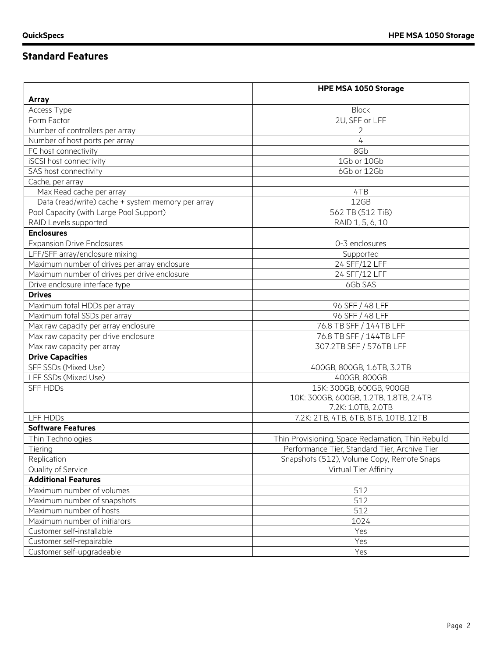# **Standard Features**

|                                                   | <b>HPE MSA 1050 Storage</b>                        |
|---------------------------------------------------|----------------------------------------------------|
| <b>Array</b>                                      |                                                    |
| Access Type                                       | <b>Block</b>                                       |
| Form Factor                                       | 2U, SFF or LFF                                     |
| Number of controllers per array                   | 2                                                  |
| Number of host ports per array                    | $\overline{4}$                                     |
| FC host connectivity                              | 8Gb                                                |
| iSCSI host connectivity                           | 1Gb or 10Gb                                        |
| SAS host connectivity                             | 6Gb or 12Gb                                        |
| Cache, per array                                  |                                                    |
| Max Read cache per array                          | 4TB                                                |
| Data (read/write) cache + system memory per array | 12GB                                               |
| Pool Capacity (with Large Pool Support)           | 562 TB (512 TiB)                                   |
| RAID Levels supported                             | RAID 1, 5, 6, 10                                   |
| <b>Enclosures</b>                                 |                                                    |
| <b>Expansion Drive Enclosures</b>                 | 0-3 enclosures                                     |
| LFF/SFF array/enclosure mixing                    | Supported                                          |
| Maximum number of drives per array enclosure      | 24 SFF/12 LFF                                      |
| Maximum number of drives per drive enclosure      | 24 SFF/12 LFF                                      |
| Drive enclosure interface type                    | 6Gb SAS                                            |
| <b>Drives</b>                                     |                                                    |
| Maximum total HDDs per array                      | 96 SFF / 48 LFF                                    |
| Maximum total SSDs per array                      | 96 SFF / 48 LFF                                    |
| Max raw capacity per array enclosure              | 76.8 TB SFF / 144TB LFF                            |
| Max raw capacity per drive enclosure              | 76.8 TB SFF / 144TB LFF                            |
| Max raw capacity per array                        | 307.2TB SFF / 576TB LFF                            |
| <b>Drive Capacities</b>                           |                                                    |
| SFF SSDs (Mixed Use)                              | 400GB, 800GB, 1.6TB, 3.2TB                         |
| LFF SSDs (Mixed Use)                              | 400GB, 800GB                                       |
| <b>SFF HDDs</b>                                   | 15K: 300GB, 600GB, 900GB                           |
|                                                   | 10K: 300GB, 600GB, 1.2TB, 1.8TB, 2.4TB             |
|                                                   | 7.2K: 1.0TB, 2.0TB                                 |
| LFF HDDs                                          | 7.2K: 2TB, 4TB, 6TB, 8TB, 10TB, 12TB               |
| <b>Software Features</b>                          |                                                    |
| Thin Technologies                                 | Thin Provisioning, Space Reclamation, Thin Rebuild |
| Tiering                                           | Performance Tier, Standard Tier, Archive Tier      |
| Replication                                       | Snapshots (512), Volume Copy, Remote Snaps         |
| Quality of Service                                | Virtual Tier Affinity                              |
| <b>Additional Features</b>                        |                                                    |
| Maximum number of volumes                         | 512                                                |
| Maximum number of snapshots                       | 512                                                |
| Maximum number of hosts                           | 512                                                |
| Maximum number of initiators                      | 1024                                               |
| Customer self-installable                         | Yes                                                |
| Customer self-repairable                          | Yes                                                |
| Customer self-upgradeable                         | Yes                                                |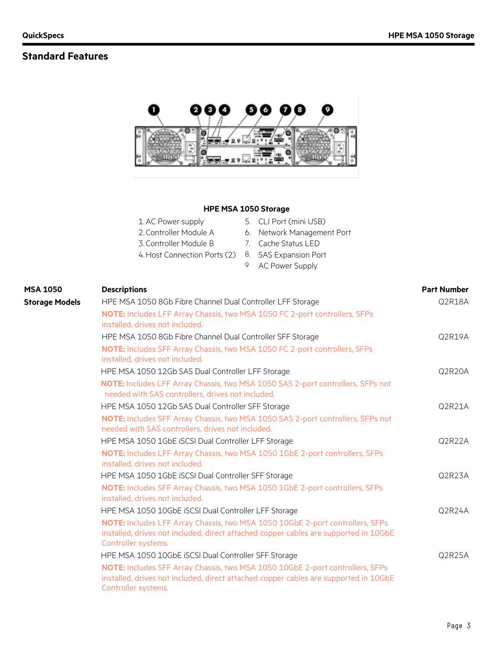# **Standard Features**



#### **HPE MSA 1050 Storage**

| 1. AC Power supply                                 | 5. CLI Port (mini USB)     |
|----------------------------------------------------|----------------------------|
| 2. Controller Module A                             | 6. Network Management Port |
| 3. Controller Module B                             | 7. Cache Status LED        |
| 4. Host Connection Ports (2) 8. SAS Expansion Port |                            |
|                                                    | 9 AC Power Supply          |

| <b>MSA 1050</b>       | <b>Descriptions</b>                                                                                                                                                                          | <b>Part Number</b> |
|-----------------------|----------------------------------------------------------------------------------------------------------------------------------------------------------------------------------------------|--------------------|
| <b>Storage Models</b> | HPE MSA 1050 8Gb Fibre Channel Dual Controller LFF Storage                                                                                                                                   | Q2R18A             |
|                       | NOTE: Includes LFF Array Chassis, two MSA 1050 FC 2-port controllers, SFPs<br>installed, drives not included.                                                                                |                    |
|                       | HPE MSA 1050 8Gb Fibre Channel Dual Controller SFF Storage                                                                                                                                   | Q2R19A             |
|                       | NOTE: Includes SFF Array Chassis, two MSA 1050 FC 2-port controllers, SFPs<br>installed, drives not included.                                                                                |                    |
|                       | HPE MSA 1050 12Gb SAS Dual Controller LFF Storage                                                                                                                                            | Q2R20A             |
|                       | NOTE: Includes LFF Array Chassis, two MSA 1050 SAS 2-port controllers, SFPs not<br>needed with SAS controllers, drives not included.                                                         |                    |
|                       | HPE MSA 1050 12Gb SAS Dual Controller SFF Storage                                                                                                                                            | Q2R21A             |
|                       | NOTE: Includes SFF Array Chassis, two MSA 1050 SAS 2-port controllers, SFPs not<br>needed with SAS controllers, drives not included.                                                         |                    |
|                       | HPE MSA 1050 1GbE iSCSI Dual Controller LFF Storage                                                                                                                                          | Q2R22A             |
|                       | NOTE: Includes LFF Array Chassis, two MSA 1050 1GbE 2-port controllers, SFPs<br>installed, drives not included.                                                                              |                    |
|                       | HPE MSA 1050 1GbE iSCSI Dual Controller SFF Storage                                                                                                                                          | Q2R23A             |
|                       | NOTE: Includes SFF Array Chassis, two MSA 1050 1GbE 2-port controllers, SFPs<br>installed, drives not included.                                                                              |                    |
|                       | HPE MSA 1050 10GbE ISCSI Dual Controller LFF Storage                                                                                                                                         | Q2R24A             |
|                       | NOTE: Includes LFF Array Chassis, two MSA 1050 10GbE 2-port controllers, SFPs<br>installed, drives not included, direct attached copper cables are supported in 10GbE<br>Controller systems. |                    |
|                       | HPE MSA 1050 10GbE ISCSI Dual Controller SFF Storage                                                                                                                                         | Q2R25A             |
|                       | NOTE: Includes SFF Array Chassis, two MSA 1050 10GbE 2-port controllers, SFPs<br>installed, drives not included, direct attached copper cables are supported in 10GbE<br>Controller systems. |                    |
|                       |                                                                                                                                                                                              |                    |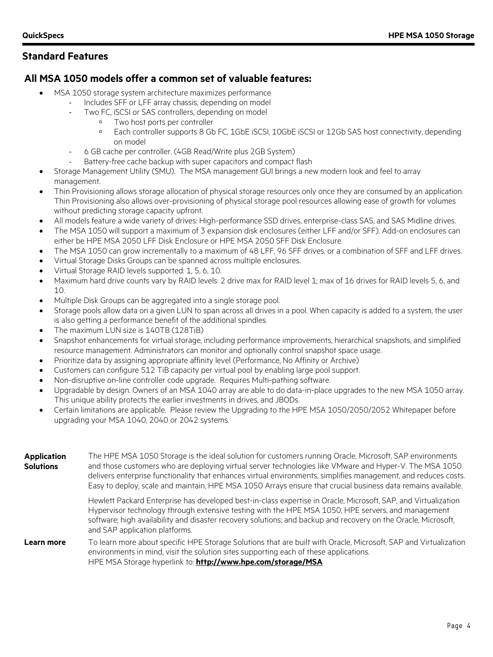### **Standard Features**

### **All MSA 1050 models offer a common set of valuable features:**

- MSA 1050 storage system architecture maximizes performance
	- Includes SFF or LFF array chassis, depending on model
		- Two FC, iSCSI or SAS controllers, depending on model
			- Two host ports per controller
			- Each controller supports 8 Gb FC, 1GbE iSCSI, 10GbE iSCSI or 12Gb SAS host connectivity, depending on model
		- 6 GB cache per controller. (4GB Read/Write plus 2GB System)
			- Battery-free cache backup with super capacitors and compact flash
- Storage Management Utility (SMU). The MSA management GUI brings a new modern look and feel to array management.
- Thin Provisioning allows storage allocation of physical storage resources only once they are consumed by an application. Thin Provisioning also allows over-provisioning of physical storage pool resources allowing ease of growth for volumes without predicting storage capacity upfront.
- All models feature a wide variety of drives: High-performance SSD drives, enterprise-class SAS, and SAS Midline drives.
- The MSA 1050 will support a maximum of 3 expansion disk enclosures (either LFF and/or SFF). Add-on enclosures can either be HPE MSA 2050 LFF Disk Enclosure or HPE MSA 2050 SFF Disk Enclosure.
- The MSA 1050 can grow incrementally to a maximum of 48 LFF, 96 SFF drives, or a combination of SFF and LFF drives.
- Virtual Storage Disks Groups can be spanned across multiple enclosures.
- Virtual Storage RAID levels supported: 1, 5, 6, 10.
- Maximum hard drive counts vary by RAID levels: 2 drive max for RAID level 1; max of 16 drives for RAID levels 5, 6, and 10.
- Multiple Disk Groups can be aggregated into a single storage pool.
- Storage pools allow data on a given LUN to span across all drives in a pool. When capacity is added to a system, the user is also getting a performance benefit of the additional spindles.
- The maximum LUN size is 140TB (128TiB)
- Snapshot enhancements for virtual storage, including performance improvements, hierarchical snapshots, and simplified resource management. Administrators can monitor and optionally control snapshot space usage.
- Prioritize data by assigning appropriate affinity level (Performance, No Affinity or Archive)
- Customers can configure 512 TiB capacity per virtual pool by enabling large pool support.
- Non-disruptive on-line controller code upgrade. Requires Multi-pathing software.
- Upgradable by design. Owners of an MSA 1040 array are able to do data-in-place upgrades to the new MSA 1050 array. This unique ability protects the earlier investments in drives, and JBODs.
- Certain limitations are applicable. Please review the Upgrading to the HPE MSA 1050/2050/2052 Whitepaper before upgrading your MSA 1040, 2040 or 2042 systems.

| <b>Application</b><br><b>Solutions</b> | The HPE MSA 1050 Storage is the ideal solution for customers running Oracle, Microsoft, SAP environments<br>and those customers who are deploying virtual server technologies like VMware and Hyper-V. The MSA 1050<br>delivers enterprise functionality that enhances virtual environments, simplifies management, and reduces costs.<br>Easy to deploy, scale and maintain, HPE MSA 1050 Arrays ensure that crucial business data remains available. |  |  |  |  |
|----------------------------------------|--------------------------------------------------------------------------------------------------------------------------------------------------------------------------------------------------------------------------------------------------------------------------------------------------------------------------------------------------------------------------------------------------------------------------------------------------------|--|--|--|--|
|                                        | Hewlett Packard Enterprise has developed best-in-class expertise in Oracle, Microsoft, SAP, and Virtualization<br>Hypervisor technology through extensive testing with the HPE MSA 1050, HPE servers, and management<br>software; high availability and disaster recovery solutions; and backup and recovery on the Oracle, Microsoft,<br>and SAP application platforms.                                                                               |  |  |  |  |
| Learn more                             | To learn more about specific HPE Storage Solutions that are built with Oracle, Microsoft, SAP and Virtualization<br>environments in mind, visit the solution sites supporting each of these applications.<br>HPE MSA Storage hyperlink to: http://www.hpe.com/storage/MSA                                                                                                                                                                              |  |  |  |  |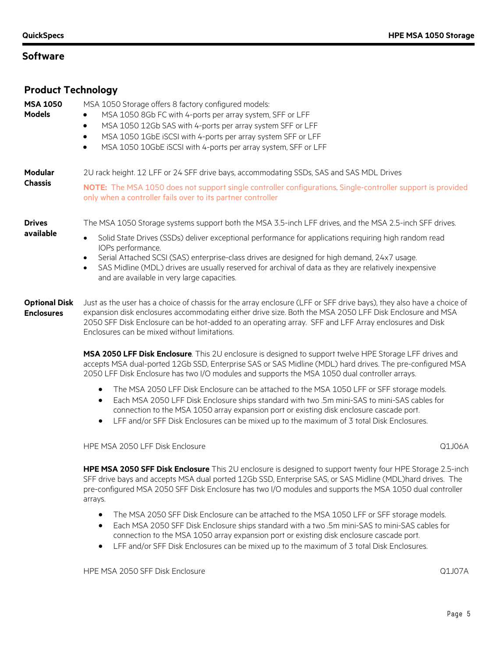| <b>Product Technology</b>                 |                                                                                                                                                                                                                                                                                                                                                                                                                                                                                                                                      |
|-------------------------------------------|--------------------------------------------------------------------------------------------------------------------------------------------------------------------------------------------------------------------------------------------------------------------------------------------------------------------------------------------------------------------------------------------------------------------------------------------------------------------------------------------------------------------------------------|
| <b>MSA 1050</b><br><b>Models</b>          | MSA 1050 Storage offers 8 factory configured models:<br>MSA 1050 8Gb FC with 4-ports per array system, SFF or LFF<br>MSA 1050 12Gb SAS with 4-ports per array system SFF or LFF<br>$\bullet$<br>MSA 1050 1GbE iSCSI with 4-ports per array system SFF or LFF<br>$\bullet$<br>MSA 1050 10GbE iSCSI with 4-ports per array system, SFF or LFF<br>$\bullet$                                                                                                                                                                             |
| <b>Modular</b><br><b>Chassis</b>          | 2U rack height. 12 LFF or 24 SFF drive bays, accommodating SSDs, SAS and SAS MDL Drives<br>NOTE: The MSA 1050 does not support single controller configurations Single-controller support is provided<br>only when a controller fails over to its partner controller                                                                                                                                                                                                                                                                 |
| <b>Drives</b><br>available                | The MSA 1050 Storage systems support both the MSA 3.5-inch LFF drives, and the MSA 2.5-inch SFF drives.<br>Solid State Drives (SSDs) deliver exceptional performance for applications requiring high random read<br>$\bullet$<br>IOPs performance.<br>Serial Attached SCSI (SAS) enterprise-class drives are designed for high demand, 24x7 usage.<br>$\bullet$<br>SAS Midline (MDL) drives are usually reserved for archival of data as they are relatively inexpensive<br>$\bullet$<br>and are available in very large capacities. |
| <b>Optional Disk</b><br><b>Enclosures</b> | Just as the user has a choice of chassis for the array enclosure (LFF or SFF drive bays), they also have a choice of<br>expansion disk enclosures accommodating either drive size. Both the MSA 2050 LFF Disk Enclosure and MSA<br>2050 SFF Disk Enclosure can be hot-added to an operating array. SFF and LFF Array enclosures and Disk                                                                                                                                                                                             |

**MSA 2050 LFF Disk Enclosure**. This 2U enclosure is designed to support twelve HPE Storage LFF drives and

accepts MSA dual-ported 12Gb SSD, Enterprise SAS or SAS Midline (MDL) hard drives. The pre-configured MSA 2050 LFF Disk Enclosure has two I/O modules and supports the MSA 1050 dual controller arrays.

- The MSA 2050 LFF Disk Enclosure can be attached to the MSA 1050 LFF or SFF storage models.
- Each MSA 2050 LFF Disk Enclosure ships standard with two .5m mini-SAS to mini-SAS cables for connection to the MSA 1050 array expansion port or existing disk enclosure cascade port.
- LFF and/or SFF Disk Enclosures can be mixed up to the maximum of 3 total Disk Enclosures.

HPE MSA 2050 LFF Disk Enclosure Q1J06A

Enclosures can be mixed without limitations.

**HPE MSA 2050 SFF Disk Enclosure** This 2U enclosure is designed to support twenty four HPE Storage 2.5-inch SFF drive bays and accepts MSA dual ported 12Gb SSD, Enterprise SAS, or SAS Midline (MDL)hard drives. The pre-configured MSA 2050 SFF Disk Enclosure has two I/O modules and supports the MSA 1050 dual controller arrays.

- The MSA 2050 SFF Disk Enclosure can be attached to the MSA 1050 LFF or SFF storage models.
- Each MSA 2050 SFF Disk Enclosure ships standard with a two .5m mini-SAS to mini-SAS cables for connection to the MSA 1050 array expansion port or existing disk enclosure cascade port.
- LFF and/or SFF Disk Enclosures can be mixed up to the maximum of 3 total Disk Enclosures.

HPE MSA 2050 SFF Disk Enclosure Q1J07A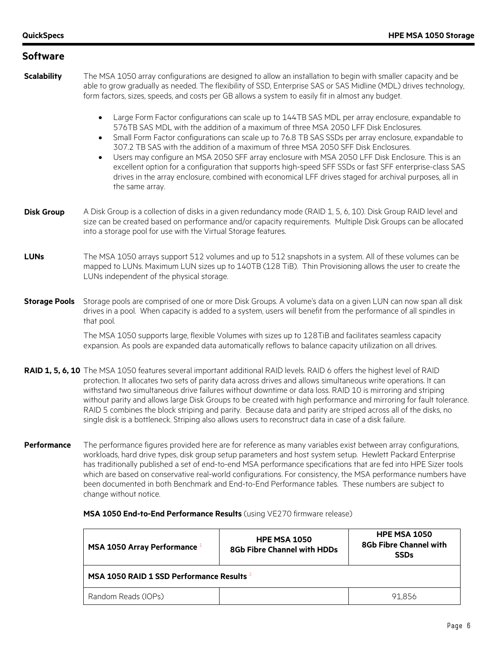| <b>Software</b>      |                                                                                                                                                                                                                                                                                                                                                                                                                                                                                                                                                                                                                                                                                                             |                                                                                                                                                                                                                                                                                                                                                                                                                                                                                                                                                                                                                                                                                                                  |                                               |
|----------------------|-------------------------------------------------------------------------------------------------------------------------------------------------------------------------------------------------------------------------------------------------------------------------------------------------------------------------------------------------------------------------------------------------------------------------------------------------------------------------------------------------------------------------------------------------------------------------------------------------------------------------------------------------------------------------------------------------------------|------------------------------------------------------------------------------------------------------------------------------------------------------------------------------------------------------------------------------------------------------------------------------------------------------------------------------------------------------------------------------------------------------------------------------------------------------------------------------------------------------------------------------------------------------------------------------------------------------------------------------------------------------------------------------------------------------------------|-----------------------------------------------|
| <b>Scalability</b>   | The MSA 1050 array configurations are designed to allow an installation to begin with smaller capacity and be<br>able to grow gradually as needed. The flexibility of SSD, Enterprise SAS or SAS Midline (MDL) drives technology,<br>form factors, sizes, speeds, and costs per GB allows a system to easily fit in almost any budget.                                                                                                                                                                                                                                                                                                                                                                      |                                                                                                                                                                                                                                                                                                                                                                                                                                                                                                                                                                                                                                                                                                                  |                                               |
|                      | $\bullet$<br>$\bullet$<br>$\bullet$<br>the same array.                                                                                                                                                                                                                                                                                                                                                                                                                                                                                                                                                                                                                                                      | Large Form Factor configurations can scale up to 144TB SAS MDL per array enclosure, expandable to<br>576TB SAS MDL with the addition of a maximum of three MSA 2050 LFF Disk Enclosures.<br>Small Form Factor configurations can scale up to 76.8 TB SAS SSDs per array enclosure, expandable to<br>307.2 TB SAS with the addition of a maximum of three MSA 2050 SFF Disk Enclosures.<br>Users may configure an MSA 2050 SFF array enclosure with MSA 2050 LFF Disk Enclosure. This is an<br>excellent option for a configuration that supports high-speed SFF SSDs or fast SFF enterprise-class SAS<br>drives in the array enclosure, combined with economical LFF drives staged for archival purposes, all in |                                               |
| <b>Disk Group</b>    | A Disk Group is a collection of disks in a given redundancy mode (RAID 1, 5, 6, 10). Disk Group RAID level and<br>size can be created based on performance and/or capacity requirements. Multiple Disk Groups can be allocated<br>into a storage pool for use with the Virtual Storage features.                                                                                                                                                                                                                                                                                                                                                                                                            |                                                                                                                                                                                                                                                                                                                                                                                                                                                                                                                                                                                                                                                                                                                  |                                               |
| <b>LUNs</b>          | The MSA 1050 arrays support 512 volumes and up to 512 snapshots in a system. All of these volumes can be<br>mapped to LUNs. Maximum LUN sizes up to 140TB (128 TiB). Thin Provisioning allows the user to create the<br>LUNs independent of the physical storage.                                                                                                                                                                                                                                                                                                                                                                                                                                           |                                                                                                                                                                                                                                                                                                                                                                                                                                                                                                                                                                                                                                                                                                                  |                                               |
| <b>Storage Pools</b> | Storage pools are comprised of one or more Disk Groups. A volume's data on a given LUN can now span all disk<br>drives in a pool. When capacity is added to a system, users will benefit from the performance of all spindles in<br>that pool.                                                                                                                                                                                                                                                                                                                                                                                                                                                              |                                                                                                                                                                                                                                                                                                                                                                                                                                                                                                                                                                                                                                                                                                                  |                                               |
|                      | The MSA 1050 supports large, flexible Volumes with sizes up to 128TiB and facilitates seamless capacity<br>expansion. As pools are expanded data automatically reflows to balance capacity utilization on all drives.                                                                                                                                                                                                                                                                                                                                                                                                                                                                                       |                                                                                                                                                                                                                                                                                                                                                                                                                                                                                                                                                                                                                                                                                                                  |                                               |
|                      | RAID 1, 5, 6, 10 The MSA 1050 features several important additional RAID levels. RAID 6 offers the highest level of RAID<br>protection. It allocates two sets of parity data across drives and allows simultaneous write operations. It can<br>withstand two simultaneous drive failures without downtime or data loss. RAID 10 is mirroring and striping<br>without parity and allows large Disk Groups to be created with high performance and mirroring for fault tolerance.<br>RAID 5 combines the block striping and parity. Because data and parity are striped across all of the disks, no<br>single disk is a bottleneck. Striping also allows users to reconstruct data in case of a disk failure. |                                                                                                                                                                                                                                                                                                                                                                                                                                                                                                                                                                                                                                                                                                                  |                                               |
| Performance          | The performance figures provided here are for reference as many variables exist between array configurations,<br>workloads, hard drive types, disk group setup parameters and host system setup. Hewlett Packard Enterprise<br>has traditionally published a set of end-to-end MSA performance specifications that are fed into HPE Sizer tools<br>which are based on conservative real-world configurations. For consistency, the MSA performance numbers have<br>been documented in both Benchmark and End-to-End Performance tables. These numbers are subject to<br>change without notice.                                                                                                              |                                                                                                                                                                                                                                                                                                                                                                                                                                                                                                                                                                                                                                                                                                                  |                                               |
|                      | MSA 1050 End-to-End Performance Results (using VE270 firmware release)                                                                                                                                                                                                                                                                                                                                                                                                                                                                                                                                                                                                                                      |                                                                                                                                                                                                                                                                                                                                                                                                                                                                                                                                                                                                                                                                                                                  |                                               |
|                      |                                                                                                                                                                                                                                                                                                                                                                                                                                                                                                                                                                                                                                                                                                             | <b>HPE MSA 1050</b>                                                                                                                                                                                                                                                                                                                                                                                                                                                                                                                                                                                                                                                                                              | <b>HPE MSA 1050</b><br>OCH Eihen Channel with |

| MSA 1050 Array Performance 1              | <b>HPE MSA 1050</b><br><b>8Gb Fibre Channel with HDDs</b> | <b>HPE MSA 1050</b><br><b>8Gb Fibre Channel with</b><br><b>SSDs</b> |
|-------------------------------------------|-----------------------------------------------------------|---------------------------------------------------------------------|
| MSA 1050 RAID 1 SSD Performance Results 2 |                                                           |                                                                     |
| Random Reads (IOPs)                       |                                                           | 91.856                                                              |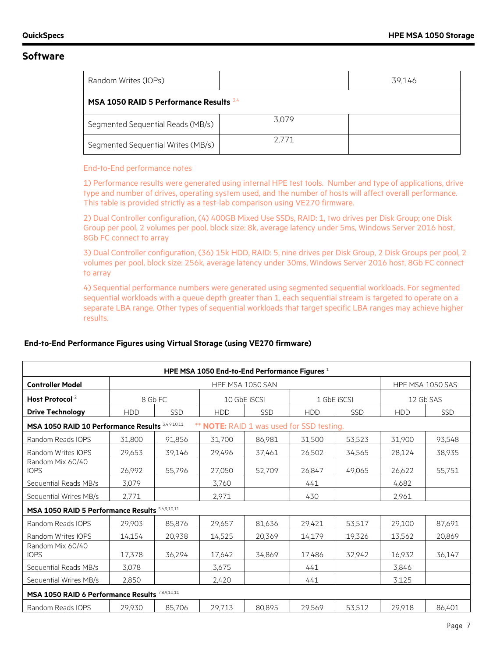| Random Writes (IOPs)                      |       | 39.146 |
|-------------------------------------------|-------|--------|
| MSA 1050 RAID 5 Performance Results $3,4$ |       |        |
| Segmented Sequential Reads (MB/s)         | 3.079 |        |
| Segmented Sequential Writes (MB/s)        | 2.771 |        |

#### End-to-End performance notes

1) Performance results were generated using internal HPE test tools. Number and type of applications, drive type and number of drives, operating system used, and the number of hosts will affect overall performance. This table is provided strictly as a test-lab comparison using VE270 firmware.

2) Dual Controller configuration, (4) 400GB Mixed Use SSDs, RAID: 1, two drives per Disk Group; one Disk Group per pool, 2 volumes per pool, block size: 8k, average latency under 5ms, Windows Server 2016 host, 8Gb FC connect to array

3) Dual Controller configuration, (36) 15k HDD, RAID: 5, nine drives per Disk Group, 2 Disk Groups per pool, 2 volumes per pool, block size: 256k, average latency under 30ms, Windows Server 2016 host, 8Gb FC connect to array

4) Sequential performance numbers were generated using segmented sequential workloads. For segmented sequential workloads with a queue depth greater than 1, each sequential stream is targeted to operate on a separate LBA range. Other types of sequential workloads that target specific LBA ranges may achieve higher results.

| HPE MSA 1050 End-to-End Performance Figures $1$  |            |            |                                           |                  |             |            |                  |            |
|--------------------------------------------------|------------|------------|-------------------------------------------|------------------|-------------|------------|------------------|------------|
| <b>Controller Model</b>                          |            |            |                                           | HPE MSA 1050 SAN |             |            | HPE MSA 1050 SAS |            |
| Host Protocol <sup>2</sup>                       |            | 8 Gb FC    | 10 GbE iSCSI                              |                  | 1 GbE iSCSI |            | 12 Gb SAS        |            |
| <b>Drive Technology</b>                          | <b>HDD</b> | <b>SSD</b> | <b>HDD</b>                                | <b>SSD</b>       | <b>HDD</b>  | <b>SSD</b> | <b>HDD</b>       | <b>SSD</b> |
| MSA 1050 RAID 10 Performance Results 3,4,9,10,11 |            |            | ** NOTE: RAID 1 was used for SSD testing. |                  |             |            |                  |            |
| Random Reads IOPS                                | 31,800     | 91,856     | 31,700                                    | 86,981           | 31,500      | 53,523     | 31,900           | 93,548     |
| Random Writes IOPS                               | 29,653     | 39,146     | 29,496                                    | 37,461           | 26,502      | 34,565     | 28,124           | 38,935     |
| Random Mix 60/40<br><b>IOPS</b>                  | 26,992     | 55,796     | 27,050                                    | 52,709           | 26,847      | 49.065     | 26,622           | 55,751     |
| Sequential Reads MB/s                            | 3,079      |            | 3,760                                     |                  | 441         |            | 4,682            |            |
| Sequential Writes MB/s                           | 2,771      |            | 2,971                                     |                  | 430         |            | 2.961            |            |
| MSA 1050 RAID 5 Performance Results 5,6,9,10,11  |            |            |                                           |                  |             |            |                  |            |
| Random Reads IOPS                                | 29,903     | 85,876     | 29,657                                    | 81,636           | 29,421      | 53,517     | 29,100           | 87,691     |
| Random Writes IOPS                               | 14,154     | 20,938     | 14,525                                    | 20,369           | 14,179      | 19,326     | 13,562           | 20,869     |
| Random Mix 60/40<br><b>IOPS</b>                  | 17,378     | 36,294     | 17,642                                    | 34,869           | 17,486      | 32,942     | 16,932           | 36,147     |
| Sequential Reads MB/s                            | 3,078      |            | 3,675                                     |                  | 441         |            | 3,846            |            |
| Sequential Writes MB/s                           | 2,850      |            | 2,420                                     |                  | 441         |            | 3,125            |            |
| MSA 1050 RAID 6 Performance Results 7,8,9,10,11  |            |            |                                           |                  |             |            |                  |            |
| Random Reads IOPS                                | 29,930     | 85,706     | 29,713                                    | 80,895           | 29,569      | 53,512     | 29,918           | 86,401     |

#### **End-to-End Performance Figures using Virtual Storage (using VE270 firmware)**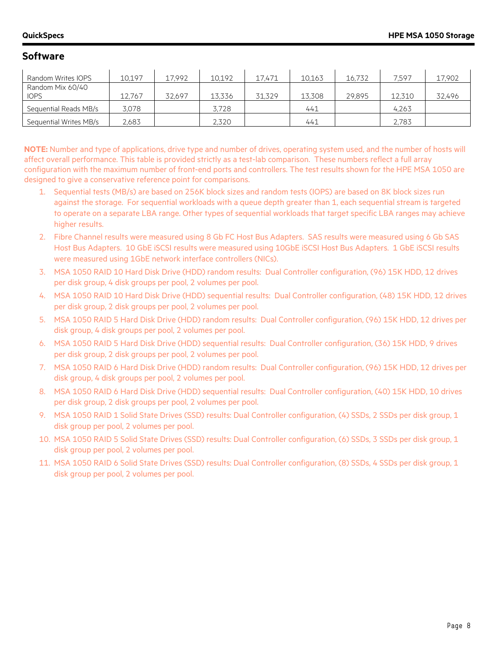| Random Writes IOPS     | 10,197 | 17.992 | 10,192 | 17.471 | 10,163 | 16,732 | 7.597  | 17,902 |
|------------------------|--------|--------|--------|--------|--------|--------|--------|--------|
| Random Mix 60/40       |        |        |        |        |        |        |        |        |
| <b>IOPS</b>            | 12.767 | 32.697 | 13.336 | 31.329 | 13.308 | 29,895 | 12,310 | 32,496 |
| Sequential Reads MB/s  | 3.078  |        | 3.728  |        | 441    |        | 4.263  |        |
| Sequential Writes MB/s | 2,683  |        | 2.320  |        | 441    |        | 2,783  |        |

**NOTE:** Number and type of applications, drive type and number of drives, operating system used, and the number of hosts will affect overall performance. This table is provided strictly as a test-lab comparison. These numbers reflect a full array configuration with the maximum number of front-end ports and controllers. The test results shown for the HPE MSA 1050 are designed to give a conservative reference point for comparisons.

- 1. Sequential tests (MB/s) are based on 256K block sizes and random tests (IOPS) are based on 8K block sizes run against the storage. For sequential workloads with a queue depth greater than 1, each sequential stream is targeted to operate on a separate LBA range. Other types of sequential workloads that target specific LBA ranges may achieve higher results.
- 2. Fibre Channel results were measured using 8 Gb FC Host Bus Adapters. SAS results were measured using 6 Gb SAS Host Bus Adapters. 10 GbE iSCSI results were measured using 10GbE iSCSI Host Bus Adapters. 1 GbE iSCSI results were measured using 1GbE network interface controllers (NICs).
- 3. MSA 1050 RAID 10 Hard Disk Drive (HDD) random results: Dual Controller configuration, (96) 15K HDD, 12 drives per disk group, 4 disk groups per pool, 2 volumes per pool.
- 4. MSA 1050 RAID 10 Hard Disk Drive (HDD) sequential results: Dual Controller configuration, (48) 15K HDD, 12 drives per disk group, 2 disk groups per pool, 2 volumes per pool.
- 5. MSA 1050 RAID 5 Hard Disk Drive (HDD) random results: Dual Controller configuration, (96) 15K HDD, 12 drives per disk group, 4 disk groups per pool, 2 volumes per pool.
- 6. MSA 1050 RAID 5 Hard Disk Drive (HDD) sequential results: Dual Controller configuration, (36) 15K HDD, 9 drives per disk group, 2 disk groups per pool, 2 volumes per pool.
- 7. MSA 1050 RAID 6 Hard Disk Drive (HDD) random results: Dual Controller configuration, (96) 15K HDD, 12 drives per disk group, 4 disk groups per pool, 2 volumes per pool.
- 8. MSA 1050 RAID 6 Hard Disk Drive (HDD) sequential results: Dual Controller configuration, (40) 15K HDD, 10 drives per disk group, 2 disk groups per pool, 2 volumes per pool.
- 9. MSA 1050 RAID 1 Solid State Drives (SSD) results: Dual Controller configuration, (4) SSDs, 2 SSDs per disk group, 1 disk group per pool, 2 volumes per pool.
- 10. MSA 1050 RAID 5 Solid State Drives (SSD) results: Dual Controller configuration, (6) SSDs, 3 SSDs per disk group, 1 disk group per pool, 2 volumes per pool.
- 11. MSA 1050 RAID 6 Solid State Drives (SSD) results: Dual Controller configuration, (8) SSDs, 4 SSDs per disk group, 1 disk group per pool, 2 volumes per pool.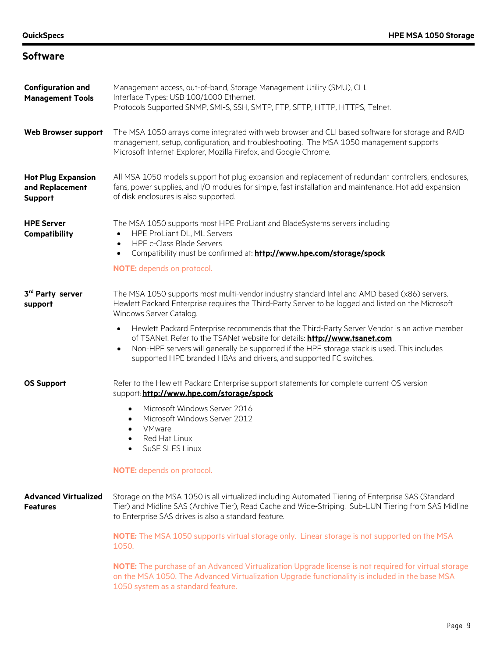| <b>Configuration and</b><br><b>Management Tools</b>            | Management access, out-of-band, Storage Management Utility (SMU), CLI.<br>Interface Types: USB 100/1000 Ethernet.<br>Protocols Supported SNMP, SMI-S, SSH, SMTP, FTP, SFTP, HTTP, HTTPS, Telnet.                                                                                                                                                                                                                                                                                                                                                                                                                            |
|----------------------------------------------------------------|-----------------------------------------------------------------------------------------------------------------------------------------------------------------------------------------------------------------------------------------------------------------------------------------------------------------------------------------------------------------------------------------------------------------------------------------------------------------------------------------------------------------------------------------------------------------------------------------------------------------------------|
| <b>Web Browser support</b>                                     | The MSA 1050 arrays come integrated with web browser and CLI based software for storage and RAID<br>management, setup, configuration, and troubleshooting. The MSA 1050 management supports<br>Microsoft Internet Explorer, Mozilla Firefox, and Google Chrome.                                                                                                                                                                                                                                                                                                                                                             |
| <b>Hot Plug Expansion</b><br>and Replacement<br><b>Support</b> | All MSA 1050 models support hot plug expansion and replacement of redundant controllers, enclosures,<br>fans, power supplies, and I/O modules for simple, fast installation and maintenance. Hot add expansion<br>of disk enclosures is also supported.                                                                                                                                                                                                                                                                                                                                                                     |
| <b>HPE Server</b><br>Compatibility                             | The MSA 1050 supports most HPE ProLiant and BladeSystems servers including<br>HPE ProLiant DL, ML Servers<br>$\bullet$<br>HPE c-Class Blade Servers<br>$\bullet$<br>Compatibility must be confirmed at: http://www.hpe.com/storage/spock<br>$\bullet$<br>NOTE: depends on protocol.                                                                                                                                                                                                                                                                                                                                         |
| 3rd Party server<br>support                                    | The MSA 1050 supports most multi-vendor industry standard Intel and AMD based (x86) servers.<br>Hewlett Packard Enterprise requires the Third-Party Server to be logged and listed on the Microsoft<br>Windows Server Catalog.<br>Hewlett Packard Enterprise recommends that the Third-Party Server Vendor is an active member<br>$\bullet$<br>of TSANet. Refer to the TSANet website for details: http://www.tsanet.com<br>Non-HPE servers will generally be supported if the HPE storage stack is used. This includes<br>$\bullet$<br>supported HPE branded HBAs and drivers, and supported FC switches.                  |
| <b>OS Support</b>                                              | Refer to the Hewlett Packard Enterprise support statements for complete current OS version<br>support: http://www.hpe.com/storage/spock<br>Microsoft Windows Server 2016<br>$\bullet$<br>Microsoft Windows Server 2012<br>$\bullet$<br>VMware<br>$\bullet$<br>Red Hat Linux<br>SuSE SLES Linux<br>NOTE: depends on protocol.                                                                                                                                                                                                                                                                                                |
| <b>Advanced Virtualized</b><br><b>Features</b>                 | Storage on the MSA 1050 is all virtualized including Automated Tiering of Enterprise SAS (Standard<br>Tier) and Midline SAS (Archive Tier), Read Cache and Wide-Striping. Sub-LUN Tiering from SAS Midline<br>to Enterprise SAS drives is also a standard feature.<br>NOTE: The MSA 1050 supports virtual storage only. Linear storage is not supported on the MSA<br>1050.<br>NOTE: The purchase of an Advanced Virtualization Upgrade license is not required for virtual storage<br>on the MSA 1050. The Advanced Virtualization Upgrade functionality is included in the base MSA<br>1050 system as a standard feature. |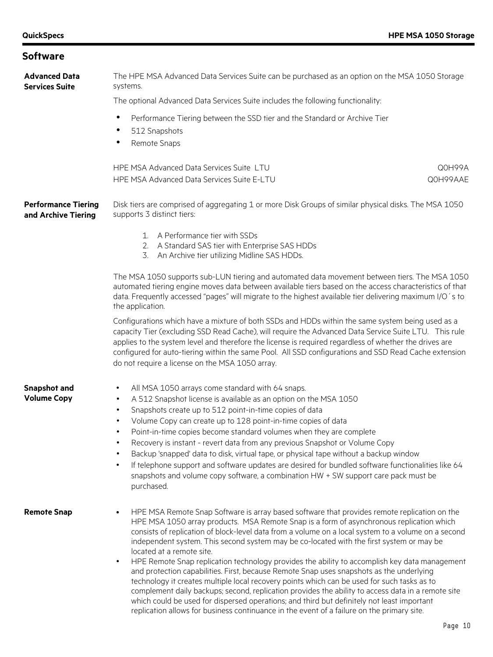| <b>Advanced Data</b><br><b>Services Suite</b>     | The HPE MSA Advanced Data Services Suite can be purchased as an option on the MSA 1050 Storage<br>systems.                                                                                                                                                                                                                                                                                                                                                                      |        |  |  |  |  |
|---------------------------------------------------|---------------------------------------------------------------------------------------------------------------------------------------------------------------------------------------------------------------------------------------------------------------------------------------------------------------------------------------------------------------------------------------------------------------------------------------------------------------------------------|--------|--|--|--|--|
|                                                   | The optional Advanced Data Services Suite includes the following functionality:                                                                                                                                                                                                                                                                                                                                                                                                 |        |  |  |  |  |
|                                                   | Performance Tiering between the SSD tier and the Standard or Archive Tier                                                                                                                                                                                                                                                                                                                                                                                                       |        |  |  |  |  |
|                                                   | 512 Snapshots                                                                                                                                                                                                                                                                                                                                                                                                                                                                   |        |  |  |  |  |
|                                                   | Remote Snaps<br>٠                                                                                                                                                                                                                                                                                                                                                                                                                                                               |        |  |  |  |  |
|                                                   | HPE MSA Advanced Data Services Suite LTU                                                                                                                                                                                                                                                                                                                                                                                                                                        | Q0H99A |  |  |  |  |
|                                                   | HPE MSA Advanced Data Services Suite E-LTU<br>Q0H99AAE                                                                                                                                                                                                                                                                                                                                                                                                                          |        |  |  |  |  |
| <b>Performance Tiering</b><br>and Archive Tiering | Disk tiers are comprised of aggregating 1 or more Disk Groups of similar physical disks. The MSA 1050<br>supports 3 distinct tiers:                                                                                                                                                                                                                                                                                                                                             |        |  |  |  |  |
|                                                   | A Performance tier with SSDs<br>1.                                                                                                                                                                                                                                                                                                                                                                                                                                              |        |  |  |  |  |
|                                                   | 2. A Standard SAS tier with Enterprise SAS HDDs<br>An Archive tier utilizing Midline SAS HDDs.<br>3.                                                                                                                                                                                                                                                                                                                                                                            |        |  |  |  |  |
|                                                   | The MSA 1050 supports sub-LUN tiering and automated data movement between tiers. The MSA 1050<br>automated tiering engine moves data between available tiers based on the access characteristics of that<br>data. Frequently accessed "pages" will migrate to the highest available tier delivering maximum I/O's to<br>the application.                                                                                                                                        |        |  |  |  |  |
|                                                   | Configurations which have a mixture of both SSDs and HDDs within the same system being used as a<br>capacity Tier (excluding SSD Read Cache), will require the Advanced Data Service Suite LTU. This rule<br>applies to the system level and therefore the license is required regardless of whether the drives are<br>configured for auto-tiering within the same Pool. All SSD configurations and SSD Read Cache extension<br>do not require a license on the MSA 1050 array. |        |  |  |  |  |
| <b>Snapshot and</b>                               | All MSA 1050 arrays come standard with 64 snaps.<br>$\bullet$                                                                                                                                                                                                                                                                                                                                                                                                                   |        |  |  |  |  |
| <b>Volume Copy</b>                                | A 512 Snapshot license is available as an option on the MSA 1050<br>$\bullet$                                                                                                                                                                                                                                                                                                                                                                                                   |        |  |  |  |  |
|                                                   | Snapshots create up to 512 point-in-time copies of data<br>$\bullet$                                                                                                                                                                                                                                                                                                                                                                                                            |        |  |  |  |  |
|                                                   | Volume Copy can create up to 128 point-in-time copies of data<br>$\bullet$<br>Point-in-time copies become standard volumes when they are complete<br>٠                                                                                                                                                                                                                                                                                                                          |        |  |  |  |  |
|                                                   | Recovery is instant - revert data from any previous Snapshot or Volume Copy                                                                                                                                                                                                                                                                                                                                                                                                     |        |  |  |  |  |
|                                                   | Backup 'snapped' data to disk, virtual tape, or physical tape without a backup window                                                                                                                                                                                                                                                                                                                                                                                           |        |  |  |  |  |
|                                                   | If telephone support and software updates are desired for bundled software functionalities like 64<br>$\bullet$<br>snapshots and volume copy software, a combination HW + SW support care pack must be<br>purchased.                                                                                                                                                                                                                                                            |        |  |  |  |  |
| <b>Remote Snap</b>                                | HPE MSA Remote Snap Software is array based software that provides remote replication on the<br>HPE MSA 1050 array products. MSA Remote Snap is a form of asynchronous replication which<br>consists of replication of block-level data from a volume on a local system to a volume on a second<br>independent system. This second system may be co-located with the first system or may be<br>located at a remote site.                                                        |        |  |  |  |  |
|                                                   | HPE Remote Snap replication technology provides the ability to accomplish key data management<br>$\bullet$<br>and protection capabilities. First, because Remote Snap uses snapshots as the underlying<br>technology it creates multiple local recovery points which can be used for such tasks as to<br>complement daily backups; second, replication provides the ability to access data in a remote site                                                                     |        |  |  |  |  |

which could be used for dispersed operations; and third but definitely not least important replication allows for business continuance in the event of a failure on the primary site.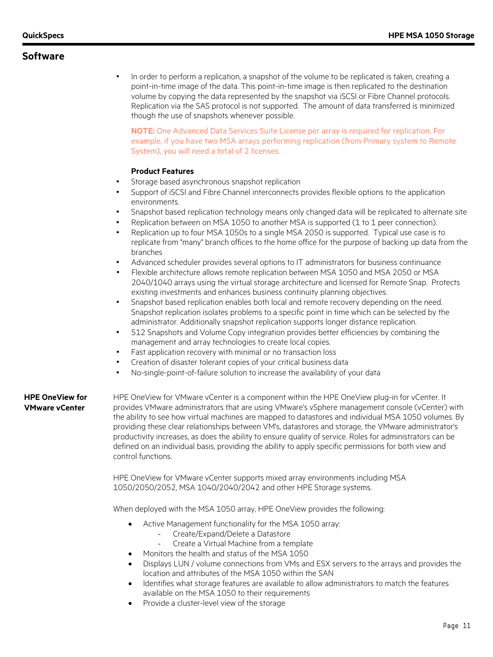• In order to perform a replication, a snapshot of the volume to be replicated is taken, creating a point-in-time image of the data. This point-in-time image is then replicated to the destination volume by copying the data represented by the snapshot via iSCSI or Fibre Channel protocols. Replication via the SAS protocol is not supported. The amount of data transferred is minimized though the use of snapshots whenever possible.

**NOTE:** One Advanced Data Services Suite License per array is required for replication. For example, if you have two MSA arrays performing replication (from Primary system to Remote System), you will need a total of 2 licenses.

#### **Product Features**

- Storage based asynchronous snapshot replication
- Support of iSCSI and Fibre Channel interconnects provides flexible options to the application environments.
- Snapshot based replication technology means only changed data will be replicated to alternate site
- Replication between on MSA 1050 to another MSA is supported (1 to 1 peer connection).
- Replication up to four MSA 1050s to a single MSA 2050 is supported. Typical use case is to replicate from "many" branch offices to the home office for the purpose of backing up data from the branches
- Advanced scheduler provides several options to IT administrators for business continuance
- Flexible architecture allows remote replication between MSA 1050 and MSA 2050 or MSA 2040/1040 arrays using the virtual storage architecture and licensed for Remote Snap. Protects existing investments and enhances business continuity planning objectives.
- Snapshot based replication enables both local and remote recovery depending on the need. Snapshot replication isolates problems to a specific point in time which can be selected by the administrator. Additionally snapshot replication supports longer distance replication.
- 512 Snapshots and Volume Copy integration provides better efficiencies by combining the management and array technologies to create local copies.
- Fast application recovery with minimal or no transaction loss
- Creation of disaster tolerant copies of your critical business data
- No-single-point-of-failure solution to increase the availability of your data

#### **HPE OneView for VMware vCenter**

HPE OneView for VMware vCenter is a component within the HPE OneView plug-in for vCenter. It provides VMware administrators that are using VMware's vSphere management console (vCenter) with the ability to see how virtual machines are mapped to datastores and individual MSA 1050 volumes. By providing these clear relationships between VM's, datastores and storage, the VMware administrator's productivity increases, as does the ability to ensure quality of service. Roles for administrators can be defined on an individual basis, providing the ability to apply specific permissions for both view and control functions.

HPE OneView for VMware vCenter supports mixed array environments including MSA 1050/2050/2052, MSA 1040/2040/2042 and other HPE Storage systems.

When deployed with the MSA 1050 array, HPE OneView provides the following:

- Active Management functionality for the MSA 1050 array:
	- Create/Expand/Delete a Datastore
	- Create a Virtual Machine from a template
- Monitors the health and status of the MSA 1050
- Displays LUN / volume connections from VMs and ESX servers to the arrays and provides the location and attributes of the MSA 1050 within the SAN
- Identifies what storage features are available to allow administrators to match the features available on the MSA 1050 to their requirements
- Provide a cluster-level view of the storage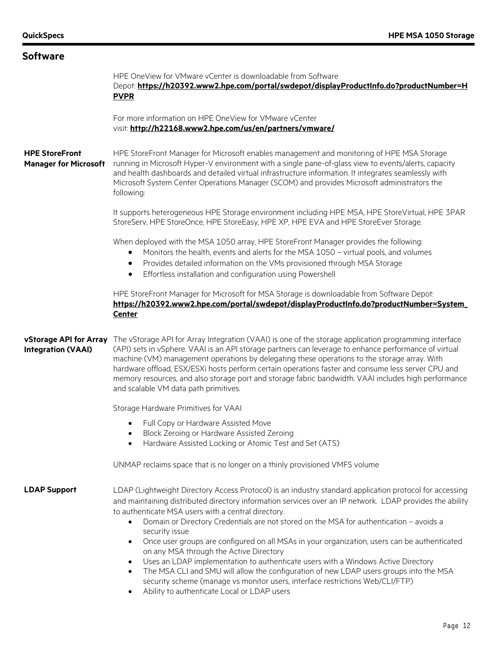| <b>Software</b>                                       |                                                                                                                                                                                                                                                                                                                                                                                                                                                                                                                                                                                                                                                                                                                                                                                                                                                                             |  |  |
|-------------------------------------------------------|-----------------------------------------------------------------------------------------------------------------------------------------------------------------------------------------------------------------------------------------------------------------------------------------------------------------------------------------------------------------------------------------------------------------------------------------------------------------------------------------------------------------------------------------------------------------------------------------------------------------------------------------------------------------------------------------------------------------------------------------------------------------------------------------------------------------------------------------------------------------------------|--|--|
|                                                       | HPE OneView for VMware vCenter is downloadable from Software<br>Depot: https://h20392.www2.hpe.com/portal/swdepot/displayProductInfo.do?productNumber=H<br><b>PVPR</b>                                                                                                                                                                                                                                                                                                                                                                                                                                                                                                                                                                                                                                                                                                      |  |  |
|                                                       | For more information on HPE OneView for VMware vCenter<br>visit: http://h22168.www2.hpe.com/us/en/partners/vmware/                                                                                                                                                                                                                                                                                                                                                                                                                                                                                                                                                                                                                                                                                                                                                          |  |  |
| <b>HPE StoreFront</b><br><b>Manager for Microsoft</b> | HPE StoreFront Manager for Microsoft enables management and monitoring of HPE MSA Storage<br>running in Microsoft Hyper-V environment with a single pane-of-glass view to events/alerts, capacity<br>and health dashboards and detailed virtual infrastructure information. It integrates seamlessly with<br>Microsoft System Center Operations Manager (SCOM) and provides Microsoft administrators the<br>following:                                                                                                                                                                                                                                                                                                                                                                                                                                                      |  |  |
|                                                       | It supports heterogeneous HPE Storage environment including HPE MSA, HPE StoreVirtual, HPE 3PAR<br>StoreServ, HPE StoreOnce, HPE StoreEasy, HPE XP, HPE EVA and HPE StoreEver Storage.                                                                                                                                                                                                                                                                                                                                                                                                                                                                                                                                                                                                                                                                                      |  |  |
|                                                       | When deployed with the MSA 1050 array, HPE StoreFront Manager provides the following:<br>Monitors the health, events and alerts for the MSA 1050 - virtual pools, and volumes<br>Provides detailed information on the VMs provisioned through MSA Storage<br>٠<br>Effortless installation and configuration using Powershell<br>$\bullet$                                                                                                                                                                                                                                                                                                                                                                                                                                                                                                                                   |  |  |
|                                                       | HPE StoreFront Manager for Microsoft for MSA Storage is downloadable from Software Depot:<br>https://h20392.www2.hpe.com/portal/swdepot/displayProductInfo.do?productNumber=System_<br><b>Center</b>                                                                                                                                                                                                                                                                                                                                                                                                                                                                                                                                                                                                                                                                        |  |  |
| vStorage API for Array<br><b>Integration (VAAI)</b>   | The vStorage API for Array Integration (VAAI) is one of the storage application programming interface<br>(API) sets in vSphere. VAAI is an API storage partners can leverage to enhance performance of virtual<br>machine (VM) management operations by delegating these operations to the storage array. With<br>hardware offload, ESX/ESXi hosts perform certain operations faster and consume less server CPU and<br>memory resources, and also storage port and storage fabric bandwidth. VAAI includes high performance<br>and scalable VM data path primitives.                                                                                                                                                                                                                                                                                                       |  |  |
|                                                       | Storage Hardware Primitives for VAAI                                                                                                                                                                                                                                                                                                                                                                                                                                                                                                                                                                                                                                                                                                                                                                                                                                        |  |  |
|                                                       | Full Copy or Hardware Assisted Move<br>Block Zeroing or Hardware Assisted Zeroing<br>Hardware Assisted Locking or Atomic Test and Set (ATS)                                                                                                                                                                                                                                                                                                                                                                                                                                                                                                                                                                                                                                                                                                                                 |  |  |
|                                                       | UNMAP reclaims space that is no longer on a thinly provisioned VMFS volume                                                                                                                                                                                                                                                                                                                                                                                                                                                                                                                                                                                                                                                                                                                                                                                                  |  |  |
| <b>LDAP Support</b>                                   | LDAP (Lightweight Directory Access Protocol) is an industry standard application protocol for accessing<br>and maintaining distributed directory information services over an IP network. LDAP provides the ability<br>to authenticate MSA users with a central directory.<br>Domain or Directory Credentials are not stored on the MSA for authentication - avoids a<br>security issue<br>Once user groups are configured on all MSAs in your organization, users can be authenticated<br>$\bullet$<br>on any MSA through the Active Directory<br>Uses an LDAP implementation to authenticate users with a Windows Active Directory<br>$\bullet$<br>The MSA CLI and SMU will allow the configuration of new LDAP users groups into the MSA<br>security scheme (manage vs monitor users, interface restrictions Web/CLI/FTP)<br>Ability to authenticate Local or LDAP users |  |  |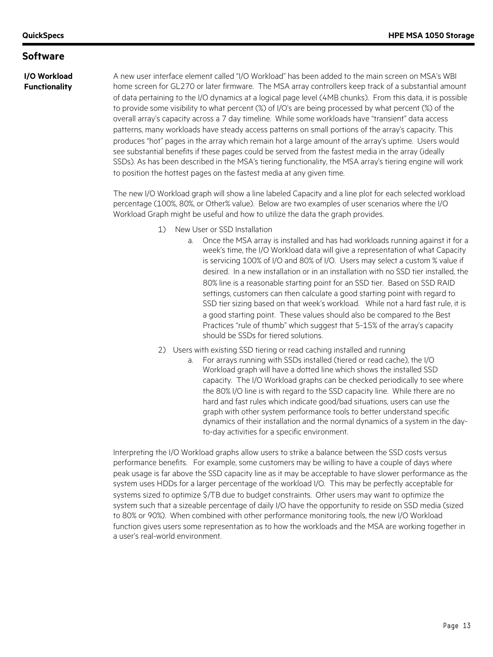#### **I/O Workload Functionality**

A new user interface element called "I/O Workload" has been added to the main screen on MSA's WBI home screen for GL270 or later firmware. The MSA array controllers keep track of a substantial amount of data pertaining to the I/O dynamics at a logical page level (4MB chunks). From this data, it is possible to provide some visibility to what percent (%) of I/O's are being processed by what percent (%) of the overall array's capacity across a 7 day timeline. While some workloads have "transient" data access patterns, many workloads have steady access patterns on small portions of the array's capacity. This produces "hot" pages in the array which remain hot a large amount of the array's uptime. Users would see substantial benefits if these pages could be served from the fastest media in the array (ideally SSDs). As has been described in the MSA's tiering functionality, the MSA array's tiering engine will work to position the hottest pages on the fastest media at any given time.

The new I/O Workload graph will show a line labeled Capacity and a line plot for each selected workload percentage (100%, 80%, or Other% value). Below are two examples of user scenarios where the I/O Workload Graph might be useful and how to utilize the data the graph provides.

- 1) New User or SSD Installation
	- a. Once the MSA array is installed and has had workloads running against it for a week's time, the I/O Workload data will give a representation of what Capacity is servicing 100% of I/O and 80% of I/O. Users may select a custom % value if desired. In a new installation or in an installation with no SSD tier installed, the 80% line is a reasonable starting point for an SSD tier. Based on SSD RAID settings, customers can then calculate a good starting point with regard to SSD tier sizing based on that week's workload. While not a hard fast rule, it is a good starting point. These values should also be compared to the Best Practices "rule of thumb" which suggest that 5-15% of the array's capacity should be SSDs for tiered solutions.
- 2) Users with existing SSD tiering or read caching installed and running
	- a. For arrays running with SSDs installed (tiered or read cache), the I/O Workload graph will have a dotted line which shows the installed SSD capacity. The I/O Workload graphs can be checked periodically to see where the 80% I/O line is with regard to the SSD capacity line. While there are no hard and fast rules which indicate good/bad situations, users can use the graph with other system performance tools to better understand specific dynamics of their installation and the normal dynamics of a system in the dayto-day activities for a specific environment.

Interpreting the I/O Workload graphs allow users to strike a balance between the SSD costs versus performance benefits. For example, some customers may be willing to have a couple of days where peak usage is far above the SSD capacity line as it may be acceptable to have slower performance as the system uses HDDs for a larger percentage of the workload I/O. This may be perfectly acceptable for systems sized to optimize \$/TB due to budget constraints. Other users may want to optimize the system such that a sizeable percentage of daily I/O have the opportunity to reside on SSD media (sized to 80% or 90%). When combined with other performance monitoring tools, the new I/O Workload function gives users some representation as to how the workloads and the MSA are working together in a user's real-world environment.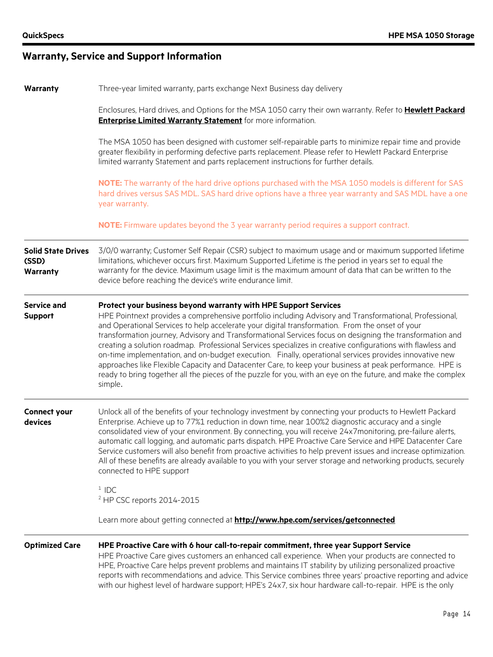# **Warranty, Service and Support Information**

| Three-year limited warranty, parts exchange Next Business day delivery<br>Warranty |                                                                                                                                                                                                                                                                                                                                                                                                                                                                                                                                                                                                                                                                                                                                                                                                                                                            |  |
|------------------------------------------------------------------------------------|------------------------------------------------------------------------------------------------------------------------------------------------------------------------------------------------------------------------------------------------------------------------------------------------------------------------------------------------------------------------------------------------------------------------------------------------------------------------------------------------------------------------------------------------------------------------------------------------------------------------------------------------------------------------------------------------------------------------------------------------------------------------------------------------------------------------------------------------------------|--|
|                                                                                    | Enclosures, Hard drives, and Options for the MSA 1050 carry their own warranty. Refer to Hewlett Packard<br><b>Enterprise Limited Warranty Statement</b> for more information.                                                                                                                                                                                                                                                                                                                                                                                                                                                                                                                                                                                                                                                                             |  |
|                                                                                    | The MSA 1050 has been designed with customer self-repairable parts to minimize repair time and provide<br>greater flexibility in performing defective parts replacement. Please refer to Hewlett Packard Enterprise<br>limited warranty Statement and parts replacement instructions for further details.                                                                                                                                                                                                                                                                                                                                                                                                                                                                                                                                                  |  |
|                                                                                    | NOTE: The warranty of the hard drive options purchased with the MSA 1050 models is different for SAS<br>hard drives versus SAS MDL. SAS hard drive options have a three year warranty and SAS MDL have a one<br>year warranty.                                                                                                                                                                                                                                                                                                                                                                                                                                                                                                                                                                                                                             |  |
|                                                                                    | NOTE: Firmware updates beyond the 3 year warranty period requires a support contract.                                                                                                                                                                                                                                                                                                                                                                                                                                                                                                                                                                                                                                                                                                                                                                      |  |
| <b>Solid State Drives</b><br>(SSD)<br><b>Warranty</b>                              | 3/0/0 warranty; Customer Self Repair (CSR) subject to maximum usage and or maximum supported lifetime<br>limitations, whichever occurs first. Maximum Supported Lifetime is the period in years set to equal the<br>warranty for the device. Maximum usage limit is the maximum amount of data that can be written to the<br>device before reaching the device's write endurance limit.                                                                                                                                                                                                                                                                                                                                                                                                                                                                    |  |
| <b>Service and</b><br><b>Support</b>                                               | Protect your business beyond warranty with HPE Support Services<br>HPE Pointnext provides a comprehensive portfolio including Advisory and Transformational, Professional,<br>and Operational Services to help accelerate your digital transformation. From the onset of your<br>transformation journey, Advisory and Transformational Services focus on designing the transformation and<br>creating a solution roadmap. Professional Services specializes in creative configurations with flawless and<br>on-time implementation, and on-budget execution. Finally, operational services provides innovative new<br>approaches like Flexible Capacity and Datacenter Care, to keep your business at peak performance. HPE is<br>ready to bring together all the pieces of the puzzle for you, with an eye on the future, and make the complex<br>simple. |  |
| <b>Connect your</b><br>devices                                                     | Unlock all of the benefits of your technology investment by connecting your products to Hewlett Packard<br>Enterprise. Achieve up to 77%1 reduction in down time, near 100%2 diagnostic accuracy and a single<br>consolidated view of your environment. By connecting, you will receive 24x7monitoring, pre-failure alerts,<br>automatic call logging, and automatic parts dispatch. HPE Proactive Care Service and HPE Datacenter Care<br>Service customers will also benefit from proactive activities to help prevent issues and increase optimization.<br>All of these benefits are already available to you with your server storage and networking products, securely<br>connected to HPE support                                                                                                                                                    |  |
|                                                                                    | $1$ IDC<br><sup>2</sup> HP CSC reports 2014-2015                                                                                                                                                                                                                                                                                                                                                                                                                                                                                                                                                                                                                                                                                                                                                                                                           |  |
|                                                                                    | Learn more about getting connected at <b>http://www.hpe.com/services/getconnected</b>                                                                                                                                                                                                                                                                                                                                                                                                                                                                                                                                                                                                                                                                                                                                                                      |  |
| <b>Optimized Care</b>                                                              | HPE Proactive Care with 6 hour call-to-repair commitment, three year Support Service<br>HPE Proactive Care gives customers an enhanced call experience. When your products are connected to<br>HPE, Proactive Care helps prevent problems and maintains IT stability by utilizing personalized proactive<br>reports with recommendations and advice. This Service combines three years' proactive reporting and advice<br>with our highest level of hardware support; HPE's 24x7, six hour hardware call-to-repair. HPE is the only                                                                                                                                                                                                                                                                                                                        |  |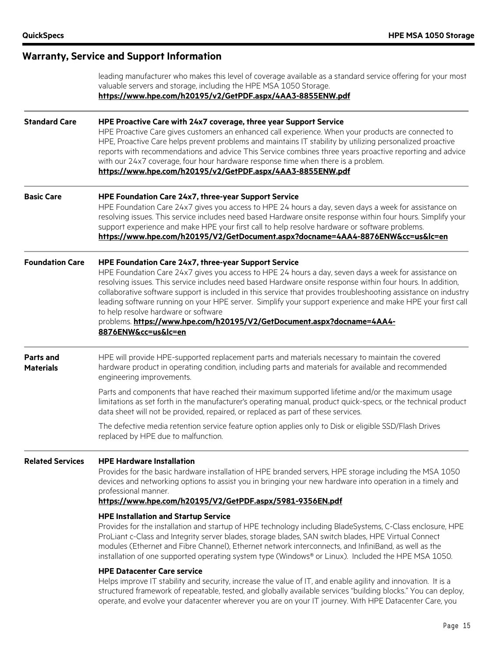|                               | leading manufacturer who makes this level of coverage available as a standard service offering for your most<br>valuable servers and storage, including the HPE MSA 1050 Storage.<br>https://www.hpe.com/h20195/v2/GetPDF.aspx/4AA3-8855ENW.pdf                                                                                                                                                                                                                                                                                                                                                                                                       |
|-------------------------------|-------------------------------------------------------------------------------------------------------------------------------------------------------------------------------------------------------------------------------------------------------------------------------------------------------------------------------------------------------------------------------------------------------------------------------------------------------------------------------------------------------------------------------------------------------------------------------------------------------------------------------------------------------|
| <b>Standard Care</b>          | HPE Proactive Care with 24x7 coverage, three year Support Service<br>HPE Proactive Care gives customers an enhanced call experience. When your products are connected to<br>HPE, Proactive Care helps prevent problems and maintains IT stability by utilizing personalized proactive<br>reports with recommendations and advice This Service combines three years proactive reporting and advice<br>with our 24x7 coverage, four hour hardware response time when there is a problem.<br>https://www.hpe.com/h20195/v2/GetPDF.aspx/4AA3-8855ENW.pdf                                                                                                  |
| <b>Basic Care</b>             | HPE Foundation Care 24x7, three-year Support Service<br>HPE Foundation Care 24x7 gives you access to HPE 24 hours a day, seven days a week for assistance on<br>resolving issues. This service includes need based Hardware onsite response within four hours. Simplify your<br>support experience and make HPE your first call to help resolve hardware or software problems.<br>https://www.hpe.com/h20195/V2/GetDocument.aspx?docname=4AA4-8876ENW&cc=us&lc=en                                                                                                                                                                                     |
| <b>Foundation Care</b>        | HPE Foundation Care 24x7, three-year Support Service<br>HPE Foundation Care 24x7 gives you access to HPE 24 hours a day, seven days a week for assistance on<br>resolving issues. This service includes need based Hardware onsite response within four hours. In addition,<br>collaborative software support is included in this service that provides troubleshooting assistance on industry<br>leading software running on your HPE server. Simplify your support experience and make HPE your first call<br>to help resolve hardware or software<br>problems. https://www.hpe.com/h20195/V2/GetDocument.aspx?docname=4AA4-<br>8876ENW&cc=us&lc=en |
| Parts and<br><b>Materials</b> | HPE will provide HPE-supported replacement parts and materials necessary to maintain the covered<br>hardware product in operating condition, including parts and materials for available and recommended<br>engineering improvements.                                                                                                                                                                                                                                                                                                                                                                                                                 |
|                               | Parts and components that have reached their maximum supported lifetime and/or the maximum usage<br>limitations as set forth in the manufacturer's operating manual, product quick-specs, or the technical product<br>data sheet will not be provided, repaired, or replaced as part of these services.                                                                                                                                                                                                                                                                                                                                               |
|                               | The defective media retention service feature option applies only to Disk or eligible SSD/Flash Drives<br>replaced by HPE due to malfunction.                                                                                                                                                                                                                                                                                                                                                                                                                                                                                                         |
| <b>Related Services</b>       | <b>HPE Hardware Installation</b><br>Provides for the basic hardware installation of HPE branded servers, HPE storage including the MSA 1050<br>devices and networking options to assist you in bringing your new hardware into operation in a timely and<br>professional manner.<br>https://www.hpe.com/h20195/V2/GetPDF.aspx/5981-9356EN.pdf                                                                                                                                                                                                                                                                                                         |
|                               | <b>HPE Installation and Startup Service</b><br>Provides for the installation and startup of HPE technology including BladeSystems, C-Class enclosure, HPE<br>ProLiant c-Class and Integrity server blades, storage blades, SAN switch blades, HPE Virtual Connect<br>modules (Ethernet and Fibre Channel), Ethernet network interconnects, and InfiniBand, as well as the<br>installation of one supported operating system type (Windows® or Linux). Included the HPE MSA 1050.                                                                                                                                                                      |
|                               | <b>HPE Datacenter Care service</b><br>Helps improve IT stability and security, increase the value of IT, and enable agility and innovation. It is a<br>structured framework of repeatable, tested, and globally available services "building blocks." You can deploy,<br>operate, and evolve your datacenter wherever you are on your IT journey. With HPE Datacenter Care, you                                                                                                                                                                                                                                                                       |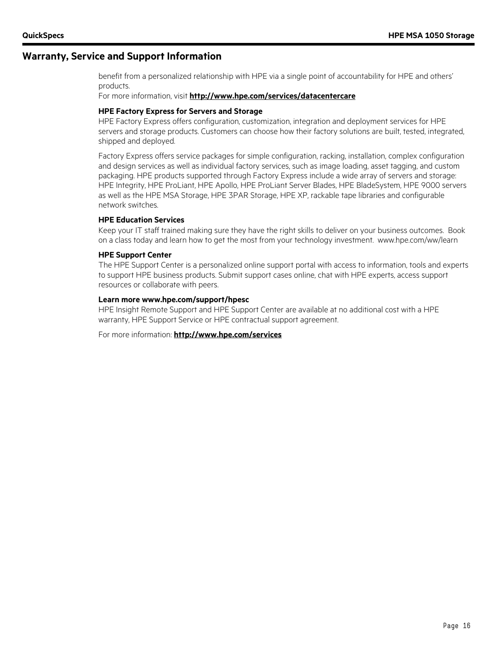#### **Warranty, Service and Support Information**

benefit from a personalized relationship with HPE via a single point of accountability for HPE and others' products.

For more information, visit **http://www.hpe.com/services/datacentercare**

#### **HPE Factory Express for Servers and Storage**

HPE Factory Express offers configuration, customization, integration and deployment services for HPE servers and storage products. Customers can choose how their factory solutions are built, tested, integrated, shipped and deployed.

Factory Express offers service packages for simple configuration, racking, installation, complex configuration and design services as well as individual factory services, such as image loading, asset tagging, and custom packaging. HPE products supported through Factory Express include a wide array of servers and storage: HPE Integrity, HPE ProLiant, HPE Apollo, HPE ProLiant Server Blades, HPE BladeSystem, HPE 9000 servers as well as the HPE MSA Storage, HPE 3PAR Storage, HPE XP, rackable tape libraries and configurable network switches.

#### **HPE Education Services**

Keep your IT staff trained making sure they have the right skills to deliver on your business outcomes. Book on a class today and learn how to get the most from your technology investment. www.hpe.com/ww/learn

#### **HPE Support Center**

The HPE Support Center is a personalized online support portal with access to information, tools and experts to support HPE business products. Submit support cases online, chat with HPE experts, access support resources or collaborate with peers.

#### **Learn more www.hpe.com/support/hpesc**

HPE Insight Remote Support and HPE Support Center are available at no additional cost with a HPE warranty, HPE Support Service or HPE contractual support agreement.

For more information: **http://www.hpe.com/services**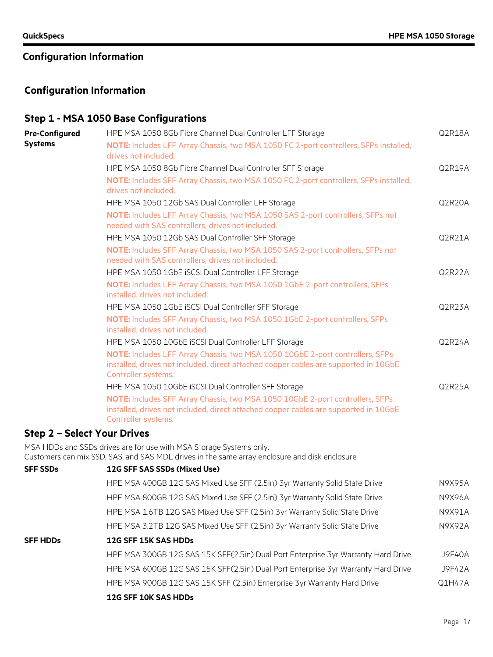## **Configuration Information**

## **Step 1 - MSA 1050 Base Configurations**

| <b>Pre-Configured</b>              | HPE MSA 1050 8Gb Fibre Channel Dual Controller LFF Storage                                                                                                            | Q2R18A        |
|------------------------------------|-----------------------------------------------------------------------------------------------------------------------------------------------------------------------|---------------|
| <b>Systems</b>                     | NOTE: Includes LFF Array Chassis, two MSA 1050 FC 2-port controllers, SFPs installed,                                                                                 |               |
|                                    | drives not included.                                                                                                                                                  |               |
|                                    | HPE MSA 1050 8Gb Fibre Channel Dual Controller SFF Storage                                                                                                            | Q2R19A        |
|                                    | NOTE: Includes SFF Array Chassis, two MSA 1050 FC 2-port controllers, SFPs installed,<br>drives not included.                                                         |               |
|                                    | HPE MSA 1050 12Gb SAS Dual Controller LFF Storage                                                                                                                     | Q2R20A        |
|                                    | NOTE: Includes LFF Array Chassis, two MSA 1050 SAS 2-port controllers, SFPs not                                                                                       |               |
|                                    | needed with SAS controllers, drives not included.                                                                                                                     |               |
|                                    | HPE MSA 1050 12Gb SAS Dual Controller SFF Storage                                                                                                                     | Q2R21A        |
|                                    | NOTE: Includes SFF Array Chassis, two MSA 1050 SAS 2-port controllers, SFPs not<br>needed with SAS controllers, drives not included.                                  |               |
|                                    | HPE MSA 1050 1GbE iSCSI Dual Controller LFF Storage                                                                                                                   | Q2R22A        |
|                                    | NOTE: Includes LFF Array Chassis, two MSA 1050 1GbE 2-port controllers, SFPs<br>installed, drives not included.                                                       |               |
|                                    | HPE MSA 1050 1GbE iSCSI Dual Controller SFF Storage                                                                                                                   | Q2R23A        |
|                                    | NOTE: Includes SFF Array Chassis, two MSA 1050 1GbE 2-port controllers, SFPs<br>installed, drives not included.                                                       |               |
|                                    | HPE MSA 1050 10GbE iSCSI Dual Controller LFF Storage                                                                                                                  | Q2R24A        |
|                                    | NOTE: Includes LFF Array Chassis, two MSA 1050 10GbE 2-port controllers, SFPs                                                                                         |               |
|                                    | installed, drives not included, direct attached copper cables are supported in 10GbE<br>Controller systems.                                                           |               |
|                                    | HPE MSA 1050 10GbE iSCSI Dual Controller SFF Storage                                                                                                                  | Q2R25A        |
|                                    | NOTE: Includes SFF Array Chassis, two MSA 1050 10GbE 2-port controllers, SFPs<br>installed, drives not included, direct attached copper cables are supported in 10GbE |               |
|                                    | Controller systems.                                                                                                                                                   |               |
| <b>Step 2 - Select Your Drives</b> |                                                                                                                                                                       |               |
|                                    | MSA HDDs and SSDs drives are for use with MSA Storage Systems only.<br>Customers can mix SSD, SAS, and SAS MDL drives in the same array enclosure and disk enclosure  |               |
| <b>SFF SSDs</b>                    | 12G SFF SAS SSDs (Mixed Use)                                                                                                                                          |               |
|                                    | HPE MSA 400GB 12G SAS Mixed Use SFF (2.5in) 3yr Warranty Solid State Drive                                                                                            | N9X95A        |
|                                    |                                                                                                                                                                       | <b>N9X96A</b> |
|                                    | HPE MSA 800GB 12G SAS Mixed Use SFF (2.5in) 3yr Warranty Solid State Drive                                                                                            |               |
|                                    | HPE MSA 1.6TB 12G SAS Mixed Use SFF (2.5in) 3yr Warranty Solid State Drive                                                                                            | N9X91A        |
|                                    | HPE MSA 3.2TB 12G SAS Mixed Use SFF (2.5in) 3yr Warranty Solid State Drive                                                                                            | <b>N9X92A</b> |
| <b>SFF HDDs</b>                    | 12G SFF 15K SAS HDDs                                                                                                                                                  |               |
|                                    | HPE MSA 300GB 12G SAS 15K SFF(2.5in) Dual Port Enterprise 3yr Warranty Hard Drive                                                                                     | <b>J9F40A</b> |
|                                    | HPE MSA 600GB 12G SAS 15K SFF(2.5in) Dual Port Enterprise 3yr Warranty Hard Drive                                                                                     | <b>J9F42A</b> |
|                                    | HPE MSA 900GB 12G SAS 15K SFF (2.5in) Enterprise 3yr Warranty Hard Drive                                                                                              | Q1H47A        |
|                                    | 12G SFF 10K SAS HDDs                                                                                                                                                  |               |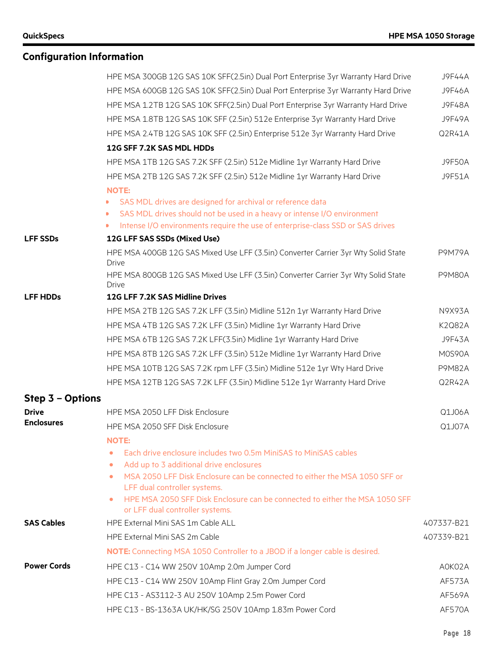|                    | HPE MSA 300GB 12G SAS 10K SFF(2.5in) Dual Port Enterprise 3yr Warranty Hard Drive                               | <b>J9F44A</b> |
|--------------------|-----------------------------------------------------------------------------------------------------------------|---------------|
|                    | HPE MSA 600GB 12G SAS 10K SFF(2.5in) Dual Port Enterprise 3yr Warranty Hard Drive                               | <b>J9F46A</b> |
|                    | HPE MSA 1.2TB 12G SAS 10K SFF(2.5in) Dual Port Enterprise 3yr Warranty Hard Drive                               | <b>J9F48A</b> |
|                    | HPE MSA 1.8TB 12G SAS 10K SFF (2.5in) 512e Enterprise 3yr Warranty Hard Drive                                   | <b>J9F49A</b> |
|                    | HPE MSA 2.4TB 12G SAS 10K SFF (2.5in) Enterprise 512e 3yr Warranty Hard Drive                                   | Q2R41A        |
|                    | 12G SFF 7.2K SAS MDL HDDs                                                                                       |               |
|                    | HPE MSA 1TB 12G SAS 7.2K SFF (2.5in) 512e Midline 1yr Warranty Hard Drive                                       | <b>J9F50A</b> |
|                    | HPE MSA 2TB 12G SAS 7.2K SFF (2.5in) 512e Midline 1yr Warranty Hard Drive                                       | J9F51A        |
|                    | <b>NOTE:</b>                                                                                                    |               |
|                    | SAS MDL drives are designed for archival or reference data                                                      |               |
|                    | SAS MDL drives should not be used in a heavy or intense I/O environment                                         |               |
|                    | Intense I/O environments require the use of enterprise-class SSD or SAS drives<br>$\mathbf{D}$                  |               |
| <b>LFF SSDs</b>    | 12G LFF SAS SSDs (Mixed Use)                                                                                    |               |
|                    | HPE MSA 400GB 12G SAS Mixed Use LFF (3.5in) Converter Carrier 3yr Wty Solid State<br><b>Drive</b>               | <b>P9M79A</b> |
|                    | HPE MSA 800GB 12G SAS Mixed Use LFF (3.5in) Converter Carrier 3yr Wty Solid State<br><b>Drive</b>               | <b>P9M80A</b> |
| <b>LFF HDDs</b>    | 12G LFF 7.2K SAS Midline Drives                                                                                 |               |
|                    | HPE MSA 2TB 12G SAS 7.2K LFF (3.5in) Midline 512n 1yr Warranty Hard Drive                                       | N9X93A        |
|                    | HPE MSA 4TB 12G SAS 7.2K LFF (3.5in) Midline 1yr Warranty Hard Drive                                            | <b>K2Q82A</b> |
|                    | HPE MSA 6TB 12G SAS 7.2K LFF(3.5in) Midline 1yr Warranty Hard Drive                                             | J9F43A        |
|                    | HPE MSA 8TB 12G SAS 7.2K LFF (3.5in) 512e Midline 1yr Warranty Hard Drive                                       | M0S90A        |
|                    | HPE MSA 10TB 12G SAS 7.2K rpm LFF (3.5in) Midline 512e 1yr Wty Hard Drive                                       | <b>P9M82A</b> |
|                    | HPE MSA 12TB 12G SAS 7.2K LFF (3.5in) Midline 512e 1yr Warranty Hard Drive                                      | Q2R42A        |
| Step 3 - Options   |                                                                                                                 |               |
| <b>Drive</b>       | HPE MSA 2050 LFF Disk Enclosure                                                                                 | Q1J06A        |
| <b>Enclosures</b>  | HPE MSA 2050 SFF Disk Enclosure                                                                                 | Q1J07A        |
|                    | <b>NOTE:</b>                                                                                                    |               |
|                    | Each drive enclosure includes two 0.5m MiniSAS to MiniSAS cables<br>۰                                           |               |
|                    | Add up to 3 additional drive enclosures<br>$\bullet$                                                            |               |
|                    | MSA 2050 LFF Disk Enclosure can be connected to either the MSA 1050 SFF or<br>۰<br>LFF dual controller systems. |               |
|                    | HPE MSA 2050 SFF Disk Enclosure can be connected to either the MSA 1050 SFF<br>or LFF dual controller systems.  |               |
| <b>SAS Cables</b>  | HPE External Mini SAS 1m Cable ALL                                                                              | 407337-B21    |
|                    | HPE External Mini SAS 2m Cable                                                                                  | 407339-B21    |
|                    | <b>NOTE:</b> Connecting MSA 1050 Controller to a JBOD if a longer cable is desired.                             |               |
| <b>Power Cords</b> | HPE C13 - C14 WW 250V 10Amp 2.0m Jumper Cord                                                                    | A0K02A        |
|                    | HPE C13 - C14 WW 250V 10Amp Flint Gray 2.0m Jumper Cord                                                         | <b>AF573A</b> |
|                    | HPE C13 - AS3112-3 AU 250V 10Amp 2.5m Power Cord                                                                | AF569A        |
|                    | HPE C13 - BS-1363A UK/HK/SG 250V 10Amp 1.83m Power Cord                                                         | <b>AF570A</b> |
|                    |                                                                                                                 |               |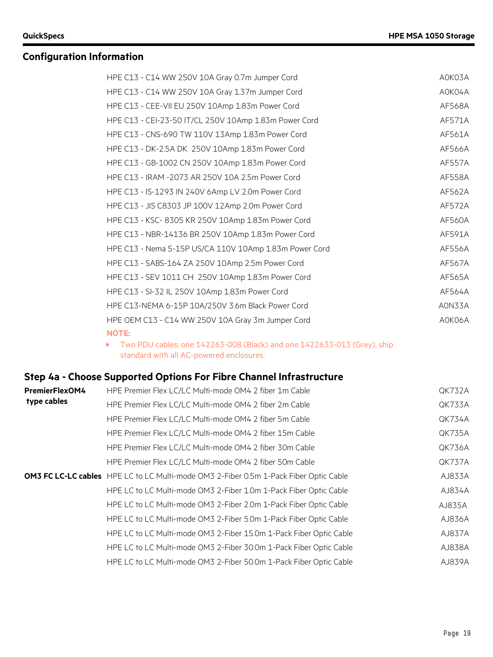| HPE C13 - C14 WW 250V 10A Gray 0.7m Jumper Cord        | A0K03A        |
|--------------------------------------------------------|---------------|
| HPE C13 - C14 WW 250V 10A Gray 1.37m Jumper Cord       | A0K04A        |
| HPE C13 - CEE-VII EU 250V 10Amp 1.83m Power Cord       | AF568A        |
| HPE C13 - CEI-23-50 IT/CL 250V 10Amp 1.83m Power Cord  | AF571A        |
| HPE C13 - CNS-690 TW 110V 13Amp 1.83m Power Cord       | AF561A        |
| HPE C13 - DK-2.5A DK 250V 10Amp 1.83m Power Cord       | AF566A        |
| HPE C13 - GB-1002 CN 250V 10Amp 1.83m Power Cord       | <b>AF557A</b> |
| HPE C13 - IRAM -2073 AR 250V 10A 2.5m Power Cord       | AF558A        |
| HPE C13 - IS-1293 IN 240V 6Amp LV 2.0m Power Cord      | AF562A        |
| HPE C13 - JIS C8303 JP 100V 12Amp 2.0m Power Cord      | <b>AF572A</b> |
| HPE C13 - KSC- 8305 KR 250V 10Amp 1.83m Power Cord     | AF560A        |
| HPE C13 - NBR-14136 BR 250V 10Amp 1.83m Power Cord     | AF591A        |
| HPE C13 - Nema 5-15P US/CA 110V 10Amp 1.83m Power Cord | AF556A        |
| HPE C13 - SABS-164 ZA 250V 10Amp 2.5m Power Cord       | AF567A        |
| HPE C13 - SEV 1011 CH 250V 10Amp 1.83m Power Cord      | AF565A        |
| HPE C13 - SI-32 IL 250V 10Amp 1.83m Power Cord         | AF564A        |
| HPE C13-NEMA 6-15P 10A/250V 3.6m Black Power Cord      | AON33A        |
| HPE OEM C13 - C14 WW 250V 10A Gray 3m Jumper Cord      | A0K06A        |
| <b>NOTE:</b>                                           |               |

• Two PDU cables: one 142263-008 (Black) and one 1422633-013 (Grey), ship standard with all AC-powered enclosures.

## **Step 4a - Choose Supported Options For Fibre Channel Infrastructure**

| <b>PremierFlexOM4</b> | HPE Premier Flex LC/LC Multi-mode OM4 2 fiber 1m Cable                                       | QK732A        |
|-----------------------|----------------------------------------------------------------------------------------------|---------------|
| type cables           | HPE Premier Flex LC/LC Multi-mode OM4 2 fiber 2m Cable                                       | QK733A        |
|                       | HPE Premier Flex LC/LC Multi-mode OM4 2 fiber 5m Cable                                       | QK734A        |
|                       | HPE Premier Flex LC/LC Multi-mode OM4 2 fiber 15m Cable                                      | <b>QK735A</b> |
|                       | HPE Premier Flex LC/LC Multi-mode OM4 2 fiber 30m Cable                                      | <b>QK736A</b> |
|                       | HPE Premier Flex LC/LC Multi-mode OM4 2 fiber 50m Cable                                      | <b>QK737A</b> |
|                       | <b>OM3 FC LC-LC cables</b> HPE LC to LC Multi-mode OM3 2-Fiber 0.5m 1-Pack Fiber Optic Cable | AJ833A        |
|                       | HPE LC to LC Multi-mode OM3 2-Fiber 1.0m 1-Pack Fiber Optic Cable                            | AJ834A        |
|                       | HPE LC to LC Multi-mode OM3 2-Fiber 2.0m 1-Pack Fiber Optic Cable                            | AJ835A        |
|                       | HPE LC to LC Multi-mode OM3 2-Fiber 5.0m 1-Pack Fiber Optic Cable                            | AJ836A        |
|                       | HPE LC to LC Multi-mode OM3 2-Fiber 15.0m 1-Pack Fiber Optic Cable                           | AJ837A        |
|                       | HPE LC to LC Multi-mode OM3 2-Fiber 30.0m 1-Pack Fiber Optic Cable                           | AJ838A        |
|                       | HPE LC to LC Multi-mode OM3 2-Fiber 50.0m 1-Pack Fiber Optic Cable                           | AJ839A        |
|                       |                                                                                              |               |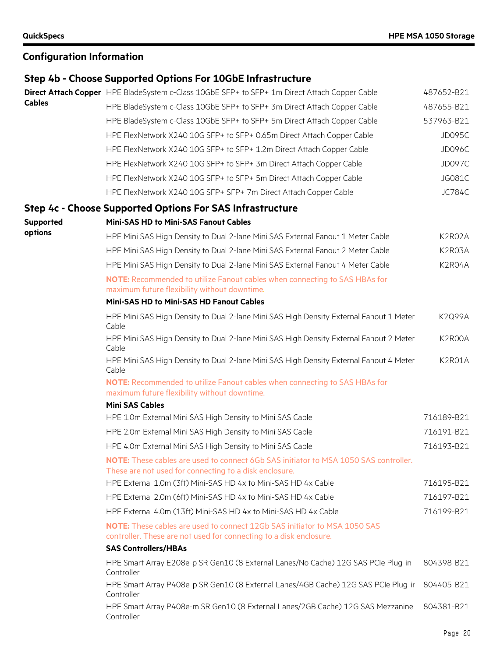# **Step 4b - Choose Supported Options For 10GbE Infrastructure**

|               | Direct Attach Copper HPE BladeSystem c-Class 10GbE SFP+ to SFP+ 1m Direct Attach Copper Cable                                                          | 487652-B21    |
|---------------|--------------------------------------------------------------------------------------------------------------------------------------------------------|---------------|
| <b>Cables</b> | HPE BladeSystem c-Class 10GbE SFP+ to SFP+ 3m Direct Attach Copper Cable                                                                               | 487655-B21    |
|               | HPE BladeSystem c-Class 10GbE SFP+ to SFP+ 5m Direct Attach Copper Cable                                                                               | 537963-B21    |
|               | HPE FlexNetwork X240 10G SFP+ to SFP+ 0.65m Direct Attach Copper Cable                                                                                 | <b>JD095C</b> |
|               | HPE FlexNetwork X240 10G SFP+ to SFP+ 1.2m Direct Attach Copper Cable                                                                                  | <b>JD096C</b> |
|               | HPE FlexNetwork X240 10G SFP+ to SFP+ 3m Direct Attach Copper Cable                                                                                    | <b>JD097C</b> |
|               | HPE FlexNetwork X240 10G SFP+ to SFP+ 5m Direct Attach Copper Cable                                                                                    | JG081C        |
|               | HPE FlexNetwork X240 10G SFP+ SFP+ 7m Direct Attach Copper Cable                                                                                       | <b>JC784C</b> |
|               | Step 4c - Choose Supported Options For SAS Infrastructure                                                                                              |               |
| Supported     | <b>Mini-SAS HD to Mini-SAS Fanout Cables</b>                                                                                                           |               |
| options       | HPE Mini SAS High Density to Dual 2-lane Mini SAS External Fanout 1 Meter Cable                                                                        | K2R02A        |
|               | HPE Mini SAS High Density to Dual 2-lane Mini SAS External Fanout 2 Meter Cable                                                                        | K2R03A        |
|               | HPE Mini SAS High Density to Dual 2-lane Mini SAS External Fanout 4 Meter Cable                                                                        | K2R04A        |
|               | NOTE: Recommended to utilize Fanout cables when connecting to SAS HBAs for<br>maximum future flexibility without downtime.                             |               |
|               | Mini-SAS HD to Mini-SAS HD Fanout Cables                                                                                                               |               |
|               | HPE Mini SAS High Density to Dual 2-lane Mini SAS High Density External Fanout 1 Meter<br>Cable                                                        | <b>K2Q99A</b> |
|               | HPE Mini SAS High Density to Dual 2-lane Mini SAS High Density External Fanout 2 Meter<br>Cable                                                        | K2R00A        |
|               | HPE Mini SAS High Density to Dual 2-lane Mini SAS High Density External Fanout 4 Meter<br>Cable                                                        | K2R01A        |
|               | NOTE: Recommended to utilize Fanout cables when connecting to SAS HBAs for<br>maximum future flexibility without downtime.                             |               |
|               | <b>Mini SAS Cables</b>                                                                                                                                 |               |
|               | HPE 1.0m External Mini SAS High Density to Mini SAS Cable                                                                                              | 716189-B21    |
|               | HPE 2.0m External Mini SAS High Density to Mini SAS Cable                                                                                              | 716191-B21    |
|               | HPE 4.0m External Mini SAS High Density to Mini SAS Cable                                                                                              | 716193-B21    |
|               | <b>NOTE:</b> These cables are used to connect 6Gb SAS initiator to MSA 1050 SAS controller.<br>These are not used for connecting to a disk enclosure.  |               |
|               | HPE External 1.0m (3ft) Mini-SAS HD 4x to Mini-SAS HD 4x Cable                                                                                         | 716195-B21    |
|               | HPE External 2.0m (6ft) Mini-SAS HD 4x to Mini-SAS HD 4x Cable                                                                                         | 716197-B21    |
|               | HPE External 4.0m (13ft) Mini-SAS HD 4x to Mini-SAS HD 4x Cable                                                                                        | 716199-B21    |
|               | <b>NOTE:</b> These cables are used to connect 12Gb SAS initiator to MSA 1050 SAS<br>controller. These are not used for connecting to a disk enclosure. |               |
|               | <b>SAS Controllers/HBAs</b>                                                                                                                            |               |
|               | HPE Smart Array E208e-p SR Gen10 (8 External Lanes/No Cache) 12G SAS PCIe Plug-in<br>Controller                                                        | 804398-B21    |
|               | HPE Smart Array P408e-p SR Gen10 (8 External Lanes/4GB Cache) 12G SAS PCIe Plug-ir<br>Controller                                                       | 804405-B21    |
|               | HPE Smart Array P408e-m SR Gen10 (8 External Lanes/2GB Cache) 12G SAS Mezzanine<br>Controller                                                          | 804381-B21    |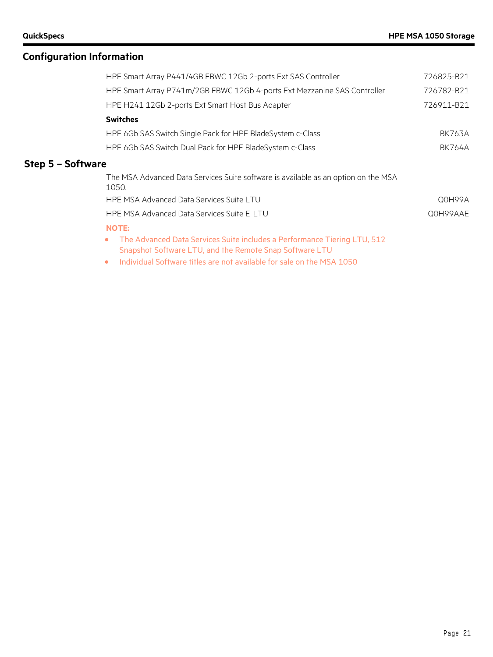| HPE Smart Array P441/4GB FBWC 12Gb 2-ports Ext SAS Controller                               | 726825-B21    |
|---------------------------------------------------------------------------------------------|---------------|
| HPE Smart Array P741m/2GB FBWC 12Gb 4-ports Ext Mezzanine SAS Controller                    | 726782-B21    |
| HPE H241 12Gb 2-ports Ext Smart Host Bus Adapter                                            | 726911-B21    |
| <b>Switches</b>                                                                             |               |
| HPE 6Gb SAS Switch Single Pack for HPE BladeSystem c-Class                                  | <b>BK763A</b> |
| HPE 6Gb SAS Switch Dual Pack for HPE BladeSystem c-Class                                    | <b>BK764A</b> |
| Step 5 - Software                                                                           |               |
| The MSA Advanced Data Services Suite software is available as an option on the MSA<br>1050. |               |
| HPE MSA Advanced Data Services Suite LTU                                                    | Q0H99A        |
| HPE MSA Advanced Data Services Suite E-LTU                                                  | Q0H99AAE      |
| <b>NOTE:</b>                                                                                |               |

• The Advanced Data Services Suite includes a Performance Tiering LTU, 512 Snapshot Software LTU, and the Remote Snap Software LTU

• Individual Software titles are not available for sale on the MSA 1050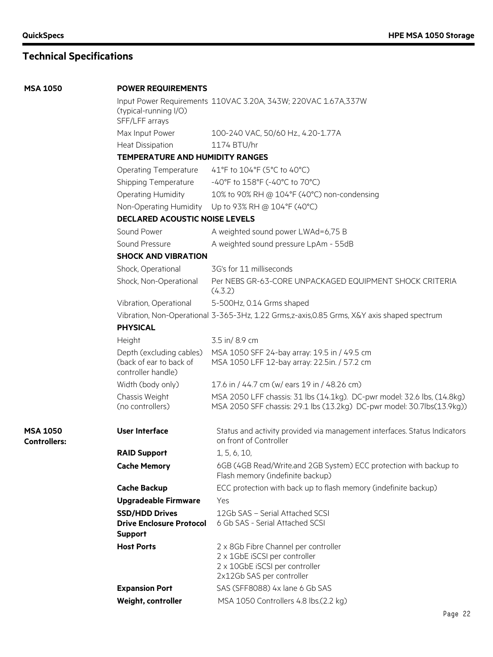**MSA 1050** 

**MSA 1050 Controllers:**

# **Technical Specifications**

| <b>POWER REQUIREMENTS</b>                                                 |                                                                                                                                                   |
|---------------------------------------------------------------------------|---------------------------------------------------------------------------------------------------------------------------------------------------|
|                                                                           | Input Power Requirements 110VAC 3.20A, 343W; 220VAC 1.67A, 337W                                                                                   |
| (typical-running I/O)<br>SFF/LFF arrays                                   |                                                                                                                                                   |
| Max Input Power                                                           | 100-240 VAC, 50/60 Hz., 4.20-1.77A                                                                                                                |
| <b>Heat Dissipation</b>                                                   | 1174 BTU/hr                                                                                                                                       |
| <b>TEMPERATURE AND HUMIDITY RANGES</b>                                    |                                                                                                                                                   |
| <b>Operating Temperature</b>                                              | 41°F to 104°F (5°C to 40°C)                                                                                                                       |
| Shipping Temperature                                                      | -40°F to 158°F (-40°C to 70°C)                                                                                                                    |
| Operating Humidity                                                        | 10% to 90% RH @ 104°F (40°C) non-condensing                                                                                                       |
| Non-Operating Humidity                                                    | Up to 93% RH @ 104°F (40°C)                                                                                                                       |
| <b>DECLARED ACOUSTIC NOISE LEVELS</b>                                     |                                                                                                                                                   |
| Sound Power                                                               | A weighted sound power LWAd=6,75 B                                                                                                                |
| Sound Pressure                                                            | A weighted sound pressure LpAm - 55dB                                                                                                             |
| <b>SHOCK AND VIBRATION</b>                                                |                                                                                                                                                   |
| Shock, Operational                                                        | 3G's for 11 milliseconds                                                                                                                          |
| Shock, Non-Operational                                                    | Per NEBS GR-63-CORE UNPACKAGED EQUIPMENT SHOCK CRITERIA<br>(4.3.2)                                                                                |
| Vibration, Operational                                                    | 5-500Hz, 0.14 Grms shaped                                                                                                                         |
|                                                                           | Vibration, Non-Operational 3-365-3Hz, 1.22 Grms, z-axis, 0.85 Grms, X&Y axis shaped spectrum                                                      |
| <b>PHYSICAL</b>                                                           |                                                                                                                                                   |
| Height                                                                    | 3.5 in/8.9 cm                                                                                                                                     |
| Depth (excluding cables)<br>(back of ear to back of<br>controller handle) | MSA 1050 SFF 24-bay array: 19.5 in / 49.5 cm<br>MSA 1050 LFF 12-bay array: 22.5in. / 57.2 cm                                                      |
| Width (body only)                                                         | 17.6 in / 44.7 cm (w/ ears 19 in / 48.26 cm)                                                                                                      |
| Chassis Weight<br>(no controllers)                                        | MSA 2050 LFF chassis: 31 lbs (14.1kg). DC-pwr model: 32.6 lbs, (14.8kg)<br>MSA 2050 SFF chassis: 29.1 lbs (13.2kg) DC-pwr model: 30.7lbs(13.9kg)) |
| <b>User Interface</b>                                                     | Status and activity provided via management interfaces. Status Indicators<br>on front of Controller                                               |
| <b>RAID Support</b>                                                       | 1, 5, 6, 10,                                                                                                                                      |
| <b>Cache Memory</b>                                                       | 6GB (4GB Read/Write.and 2GB System) ECC protection with backup to<br>Flash memory (indefinite backup)                                             |
| <b>Cache Backup</b>                                                       | ECC protection with back up to flash memory (indefinite backup)                                                                                   |
| <b>Upgradeable Firmware</b>                                               | Yes                                                                                                                                               |
| <b>SSD/HDD Drives</b>                                                     | 12Gb SAS - Serial Attached SCSI                                                                                                                   |
| <b>Drive Enclosure Protocol</b><br><b>Support</b>                         | 6 Gb SAS - Serial Attached SCSI                                                                                                                   |
| <b>Host Ports</b>                                                         | 2 x 8Gb Fibre Channel per controller<br>2 x 1GbE iSCSI per controller<br>2 x 10GbE iSCSI per controller<br>2x12Gb SAS per controller              |
| <b>Expansion Port</b>                                                     | SAS (SFF8088) 4x lane 6 Gb SAS                                                                                                                    |
| Weight, controller                                                        | MSA 1050 Controllers 4.8 lbs.(2.2 kg)                                                                                                             |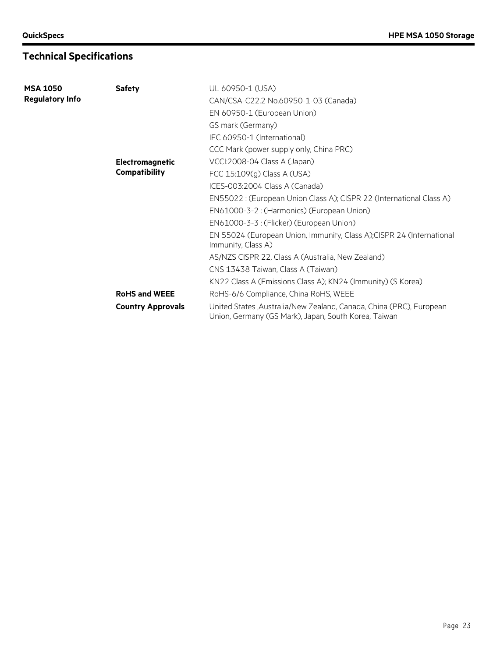# **Technical Specifications**

| <b>MSA 1050</b>        | <b>Safety</b>            | UL 60950-1 (USA)                                                                                                            |
|------------------------|--------------------------|-----------------------------------------------------------------------------------------------------------------------------|
| <b>Regulatory Info</b> |                          | CAN/CSA-C22.2 No.60950-1-03 (Canada)                                                                                        |
|                        |                          | EN 60950-1 (European Union)                                                                                                 |
|                        |                          | GS mark (Germany)                                                                                                           |
|                        |                          | IEC 60950-1 (International)                                                                                                 |
|                        |                          | CCC Mark (power supply only, China PRC)                                                                                     |
|                        | <b>Electromagnetic</b>   | VCCI:2008-04 Class A (Japan)                                                                                                |
|                        | <b>Compatibility</b>     | FCC 15:109(g) Class A (USA)                                                                                                 |
|                        |                          | ICES-003:2004 Class A (Canada)                                                                                              |
|                        |                          | EN55022 : (European Union Class A); CISPR 22 (International Class A)                                                        |
|                        |                          | EN61000-3-2 : (Harmonics) (European Union)                                                                                  |
|                        |                          | EN61000-3-3 : (Flicker) (European Union)                                                                                    |
|                        |                          | EN 55024 (European Union, Immunity, Class A); CISPR 24 (International<br>Immunity, Class A)                                 |
|                        |                          | AS/NZS CISPR 22, Class A (Australia, New Zealand)                                                                           |
|                        |                          | CNS 13438 Taiwan, Class A (Taiwan)                                                                                          |
|                        |                          | KN22 Class A (Emissions Class A); KN24 (Immunity) (S Korea)                                                                 |
|                        | <b>RoHS and WEEE</b>     | RoHS-6/6 Compliance, China RoHS, WEEE                                                                                       |
|                        | <b>Country Approvals</b> | United States, Australia/New Zealand, Canada, China (PRC), European<br>Union, Germany (GS Mark), Japan, South Korea, Taiwan |